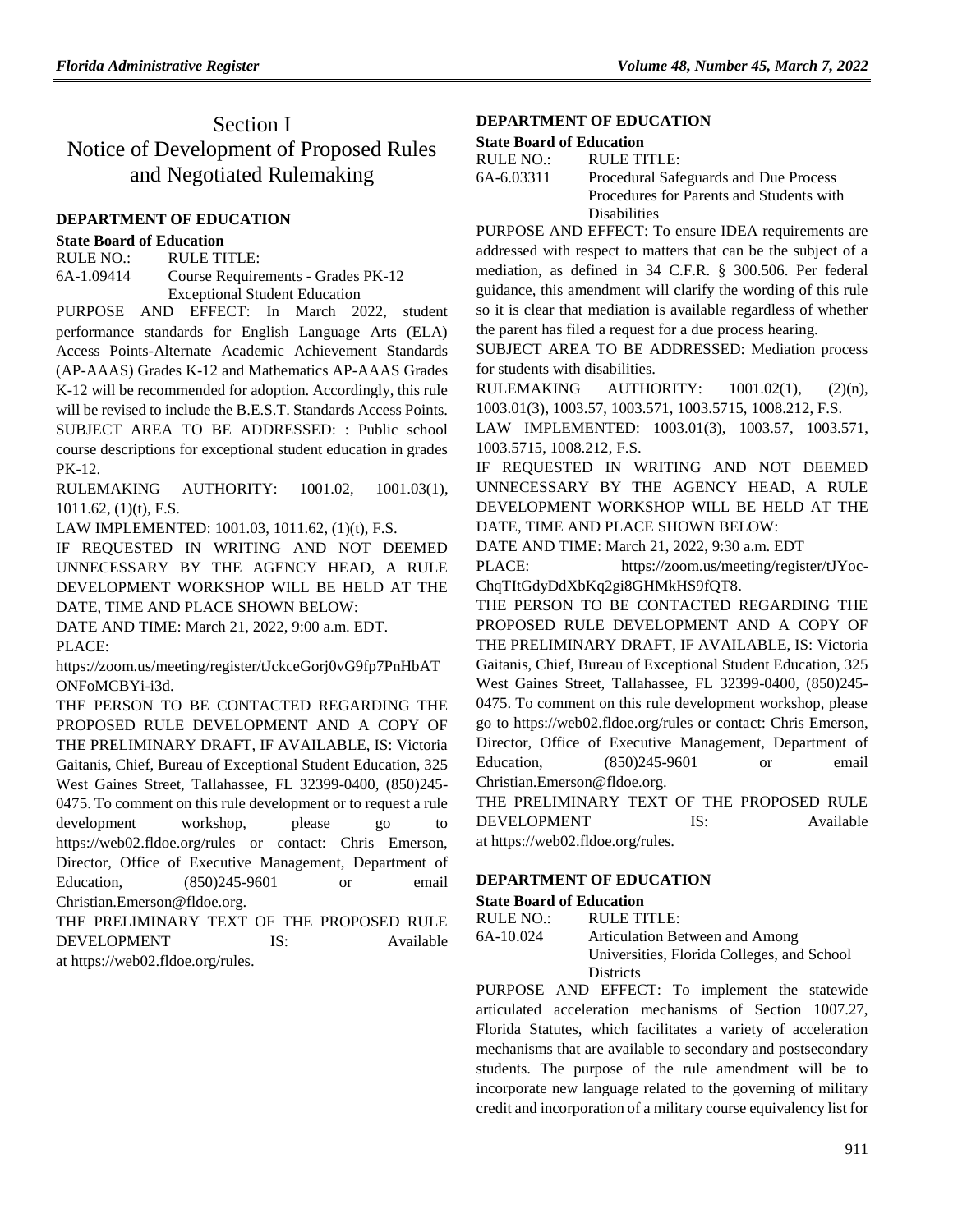# Section I Notice of Development of Proposed Rules and Negotiated Rulemaking

#### **[DEPARTMENT OF EDUCATION](https://www.flrules.org/gateway/department.asp?id=6)**

#### **[State Board of Education](https://www.flrules.org/gateway/organization.asp?id=195)**

RULE NO.: RULE TITLE: [6A-1.09414](https://www.flrules.org/gateway/ruleNo.asp?id=6A-1.09414) Course Requirements - Grades PK-12 Exceptional Student Education

PURPOSE AND EFFECT: In March 2022, student performance standards for English Language Arts (ELA) Access Points-Alternate Academic Achievement Standards (AP-AAAS) Grades K-12 and Mathematics AP-AAAS Grades K-12 will be recommended for adoption. Accordingly, this rule will be revised to include the B.E.S.T. Standards Access Points. SUBJECT AREA TO BE ADDRESSED: : Public school course descriptions for exceptional student education in grades PK-12.

RULEMAKING AUTHORITY: [1001.02,](https://www.flrules.org/gateway/statute.asp?id=1001.02) [1001.03\(1\),](https://www.flrules.org/gateway/statute.asp?id=%201001.03(1)) [1011.62,](https://www.flrules.org/gateway/statute.asp?id=%201011.62) (1)(t), F.S.

LAW IMPLEMENTED: [1001.03,](https://www.flrules.org/gateway/statute.asp?id=1001.03) [1011.62,](https://www.flrules.org/gateway/statute.asp?id=%201011.62) (1)(t), F.S.

IF REQUESTED IN WRITING AND NOT DEEMED UNNECESSARY BY THE AGENCY HEAD, A RULE DEVELOPMENT WORKSHOP WILL BE HELD AT THE DATE, TIME AND PLACE SHOWN BELOW:

DATE AND TIME: March 21, 2022, 9:00 a.m. EDT. PLACE:

https://zoom.us/meeting/register/tJckceGorj0vG9fp7PnHbAT ONFoMCBYi-i3d.

THE PERSON TO BE CONTACTED REGARDING THE PROPOSED RULE DEVELOPMENT AND A COPY OF THE PRELIMINARY DRAFT, IF AVAILABLE, IS: Victoria Gaitanis, Chief, Bureau of Exceptional Student Education, 325 West Gaines Street, Tallahassee, FL 32399-0400, (850)245- 0475. To comment on this rule development or to request a rule development workshop, please go to https://web02.fldoe.org/rules or contact: Chris Emerson, Director, Office of Executive Management, Department of Education, (850)245-9601 or email Christian.Emerson@fldoe.org.

THE PRELIMINARY TEXT OF THE PROPOSED RULE DEVELOPMENT IS: Available at https://web02.fldoe.org/rules.

## **[DEPARTMENT OF EDUCATION](https://www.flrules.org/gateway/department.asp?id=6)**

#### **[State Board of Education](https://www.flrules.org/gateway/organization.asp?id=195)**

| RULE NO.:  | RULE TITLE:                              |
|------------|------------------------------------------|
| 6A-6.03311 | Procedural Safeguards and Due Process    |
|            | Procedures for Parents and Students with |
|            | <b>Disabilities</b>                      |

PURPOSE AND EFFECT: To ensure IDEA requirements are addressed with respect to matters that can be the subject of a mediation, as defined in 34 C.F.R. § 300.506. Per federal guidance, this amendment will clarify the wording of this rule so it is clear that mediation is available regardless of whether the parent has filed a request for a due process hearing.

SUBJECT AREA TO BE ADDRESSED: Mediation process for students with disabilities.

RULEMAKING AUTHORITY: [1001.02\(1\),](https://www.flrules.org/gateway/statute.asp?id=1001.02(1)) (2)(n), [1003.01\(3\),](https://www.flrules.org/gateway/statute.asp?id=%201003.01(3)) [1003.57,](https://www.flrules.org/gateway/statute.asp?id=%201003.57) [1003.571,](https://www.flrules.org/gateway/statute.asp?id=%201003.571) [1003.5715,](https://www.flrules.org/gateway/statute.asp?id=%201003.5715) [1008.212,](https://www.flrules.org/gateway/statute.asp?id=%201008.212) F.S.

LAW IMPLEMENTED: [1003.01\(3\),](https://www.flrules.org/gateway/statute.asp?id=1003.01(3)) [1003.57,](https://www.flrules.org/gateway/statute.asp?id=%201003.57) [1003.571,](https://www.flrules.org/gateway/statute.asp?id=%201003.571) [1003.5715,](https://www.flrules.org/gateway/statute.asp?id=%201003.5715) [1008.212,](https://www.flrules.org/gateway/statute.asp?id=%201008.212) F.S.

IF REQUESTED IN WRITING AND NOT DEEMED UNNECESSARY BY THE AGENCY HEAD, A RULE DEVELOPMENT WORKSHOP WILL BE HELD AT THE DATE, TIME AND PLACE SHOWN BELOW:

DATE AND TIME: March 21, 2022, 9:30 a.m. EDT

PLACE: https://zoom.us/meeting/register/tJYoc-ChqTItGdyDdXbKq2gi8GHMkHS9fQT8.

THE PERSON TO BE CONTACTED REGARDING THE PROPOSED RULE DEVELOPMENT AND A COPY OF THE PRELIMINARY DRAFT, IF AVAILABLE, IS: Victoria Gaitanis, Chief, Bureau of Exceptional Student Education, 325 West Gaines Street, Tallahassee, FL 32399-0400, (850)245- 0475. To comment on this rule development workshop, please go to https://web02.fldoe.org/rules or contact: Chris Emerson, Director, Office of Executive Management, Department of Education, (850)245-9601 or email Christian.Emerson@fldoe.org.

THE PRELIMINARY TEXT OF THE PROPOSED RULE DEVELOPMENT IS: Available at https://web02.fldoe.org/rules.

### **[DEPARTMENT OF EDUCATION](https://www.flrules.org/gateway/department.asp?id=6)**

### **[State Board of Education](https://www.flrules.org/gateway/organization.asp?id=195)**

RULE NO.: RULE TITLE: [6A-10.024](https://www.flrules.org/gateway/ruleNo.asp?id=6A-10.024) Articulation Between and Among Universities, Florida Colleges, and School **Districts** 

PURPOSE AND EFFECT: To implement the statewide articulated acceleration mechanisms of Section 1007.27, Florida Statutes, which facilitates a variety of acceleration mechanisms that are available to secondary and postsecondary students. The purpose of the rule amendment will be to incorporate new language related to the governing of military credit and incorporation of a military course equivalency list for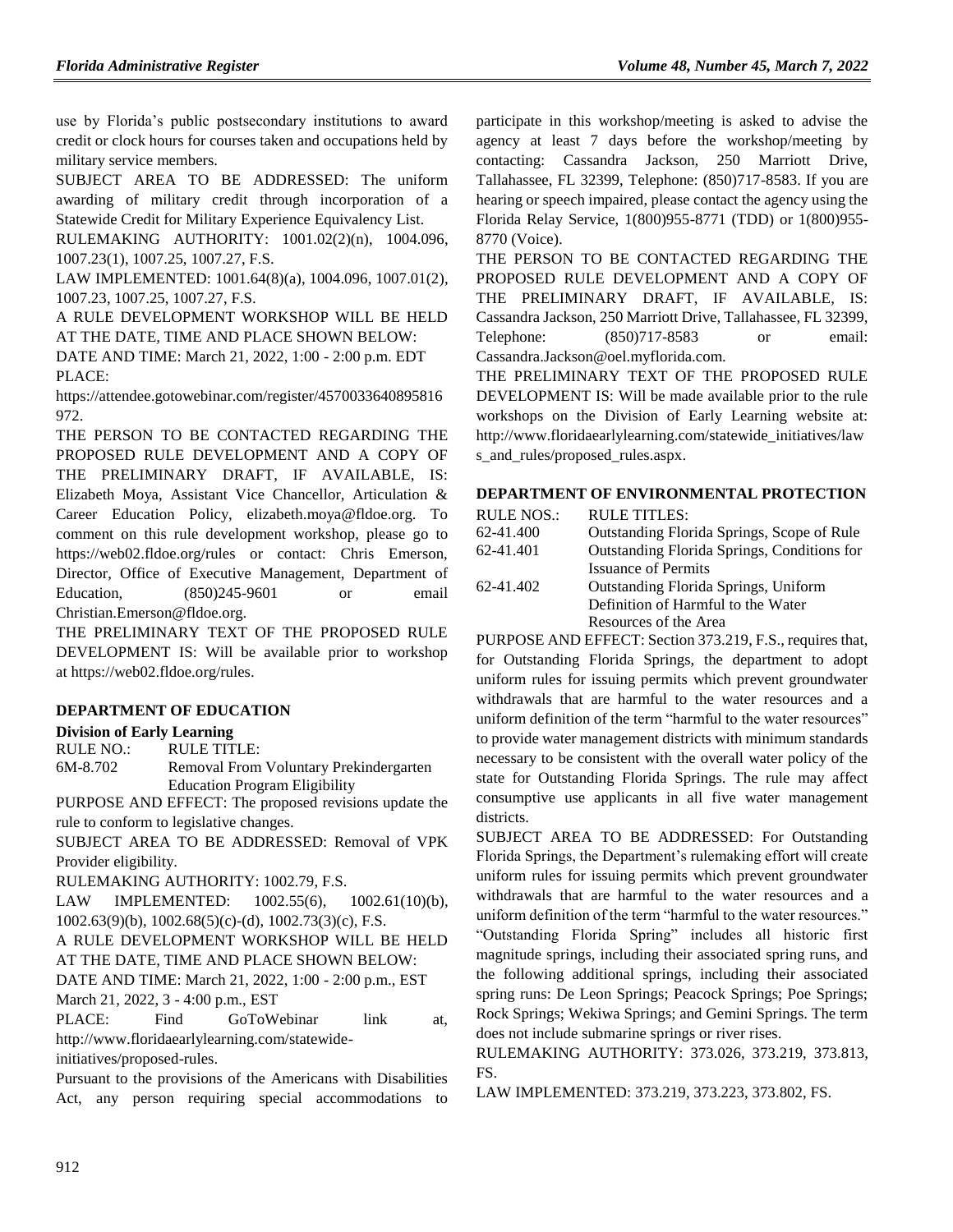use by Florida's public postsecondary institutions to award credit or clock hours for courses taken and occupations held by military service members.

SUBJECT AREA TO BE ADDRESSED: The uniform awarding of military credit through incorporation of a Statewide Credit for Military Experience Equivalency List.

RULEMAKING AUTHORITY: [1001.02\(2\)\(n\),](https://www.flrules.org/gateway/statute.asp?id=1001.02(2)(n)) [1004.096,](https://www.flrules.org/gateway/statute.asp?id=%201004.096) [1007.23\(1\),](https://www.flrules.org/gateway/statute.asp?id=%201007.23(1)) [1007.25,](https://www.flrules.org/gateway/statute.asp?id=%201007.25) [1007.27,](https://www.flrules.org/gateway/statute.asp?id=%201007.27) F.S.

LAW IMPLEMENTED: [1001.64\(8\)\(a\),](https://www.flrules.org/gateway/statute.asp?id=1001.64(8)(a)) [1004.096,](https://www.flrules.org/gateway/statute.asp?id=%201004.096) [1007.01\(2\),](https://www.flrules.org/gateway/statute.asp?id=%201007.01(2)) [1007.23,](https://www.flrules.org/gateway/statute.asp?id=%201007.23) [1007.25,](https://www.flrules.org/gateway/statute.asp?id=%201007.25) [1007.27,](https://www.flrules.org/gateway/statute.asp?id=%201007.27) F.S.

A RULE DEVELOPMENT WORKSHOP WILL BE HELD AT THE DATE, TIME AND PLACE SHOWN BELOW:

DATE AND TIME: March 21, 2022, 1:00 - 2:00 p.m. EDT PLACE:

https://attendee.gotowebinar.com/register/4570033640895816 972.

THE PERSON TO BE CONTACTED REGARDING THE PROPOSED RULE DEVELOPMENT AND A COPY OF THE PRELIMINARY DRAFT, IF AVAILABLE, IS: Elizabeth Moya, Assistant Vice Chancellor, Articulation & Career Education Policy, elizabeth.moya@fldoe.org. To comment on this rule development workshop, please go to https://web02.fldoe.org/rules or contact: Chris Emerson, Director, Office of Executive Management, Department of Education, (850)245-9601 or email Christian.Emerson@fldoe.org.

THE PRELIMINARY TEXT OF THE PROPOSED RULE DEVELOPMENT IS: Will be available prior to workshop at https://web02.fldoe.org/rules.

### **[DEPARTMENT OF EDUCATION](https://www.flrules.org/gateway/department.asp?id=6)**

### **[Division of Early Learning](https://www.flrules.org/gateway/organization.asp?id=1044)**

RULE NO.: RULE TITLE:

[6M-8.702](https://www.flrules.org/gateway/ruleNo.asp?id=6M-8.702) Removal From Voluntary Prekindergarten Education Program Eligibility

PURPOSE AND EFFECT: The proposed revisions update the rule to conform to legislative changes.

SUBJECT AREA TO BE ADDRESSED: Removal of VPK Provider eligibility.

RULEMAKING AUTHORITY: [1002.79,](https://www.flrules.org/gateway/statute.asp?id=1002.79) F.S.

LAW IMPLEMENTED: [1002.55\(6\),](https://www.flrules.org/gateway/statute.asp?id=1002.55(6)) [1002.61\(10\)\(b\),](https://www.flrules.org/gateway/statute.asp?id=%201002.61(10)(b)) [1002.63\(9\)\(b\),](https://www.flrules.org/gateway/statute.asp?id=%201002.63(9)(b)) [1002.68\(5\)\(c\)-\(d\),](https://www.flrules.org/gateway/statute.asp?id=%201002.68(5)(c)-(d)) [1002.73\(3\)\(c\),](https://www.flrules.org/gateway/statute.asp?id=%201002.73(3)(c)) F.S.

A RULE DEVELOPMENT WORKSHOP WILL BE HELD AT THE DATE, TIME AND PLACE SHOWN BELOW:

DATE AND TIME: March 21, 2022, 1:00 - 2:00 p.m., EST March 21, 2022, 3 - 4:00 p.m., EST

PLACE: Find GoToWebinar link at, http://www.floridaearlylearning.com/statewide-

initiatives/proposed-rules.

Pursuant to the provisions of the Americans with Disabilities Act, any person requiring special accommodations to participate in this workshop/meeting is asked to advise the agency at least 7 days before the workshop/meeting by contacting: Cassandra Jackson, 250 Marriott Drive, Tallahassee, FL 32399, Telephone: (850)717-8583. If you are hearing or speech impaired, please contact the agency using the Florida Relay Service, 1(800)955-8771 (TDD) or 1(800)955- 8770 (Voice).

THE PERSON TO BE CONTACTED REGARDING THE PROPOSED RULE DEVELOPMENT AND A COPY OF THE PRELIMINARY DRAFT, IF AVAILABLE, IS: Cassandra Jackson, 250 Marriott Drive, Tallahassee, FL 32399, Telephone: (850)717-8583 or email: Cassandra.Jackson@oel.myflorida.com.

THE PRELIMINARY TEXT OF THE PROPOSED RULE DEVELOPMENT IS: Will be made available prior to the rule workshops on the Division of Early Learning website at: [http://www.floridaearlylearning.com/statewide\\_initiatives/law](http://www.floridaearlylearning.com/statewide_initiatives/laws_and_rules/proposed_rules.aspx) s and rules/proposed rules.aspx.

#### **[DEPARTMENT OF ENVIRONMENTAL PROTECTION](https://www.flrules.org/gateway/department.asp?id=62)**

| <b>RULE NOS.:</b> | <b>RULE TITLES:</b>                                |
|-------------------|----------------------------------------------------|
| 62-41.400         | Outstanding Florida Springs, Scope of Rule         |
| 62-41.401         | <b>Outstanding Florida Springs, Conditions for</b> |
|                   | <b>Issuance of Permits</b>                         |
| 62-41.402         | Outstanding Florida Springs, Uniform               |
|                   | Definition of Harmful to the Water                 |
|                   | Resources of the Area                              |

PURPOSE AND EFFECT: Section 373.219, F.S., requires that, for Outstanding Florida Springs, the department to adopt uniform rules for issuing permits which prevent groundwater withdrawals that are harmful to the water resources and a uniform definition of the term "harmful to the water resources" to provide water management districts with minimum standards necessary to be consistent with the overall water policy of the state for Outstanding Florida Springs. The rule may affect consumptive use applicants in all five water management districts.

SUBJECT AREA TO BE ADDRESSED: For Outstanding Florida Springs, the Department's rulemaking effort will create uniform rules for issuing permits which prevent groundwater withdrawals that are harmful to the water resources and a uniform definition of the term "harmful to the water resources." "Outstanding Florida Spring" includes all historic first magnitude springs, including their associated spring runs, and the following additional springs, including their associated spring runs: De Leon Springs; Peacock Springs; Poe Springs; Rock Springs; Wekiwa Springs; and Gemini Springs. The term does not include submarine springs or river rises.

RULEMAKING AUTHORITY: [373.026,](https://www.flrules.org/gateway/statute.asp?id=373.026) [373.219,](https://www.flrules.org/gateway/statute.asp?id=%20373.219) [373.813,](https://www.flrules.org/gateway/statute.asp?id=%20373.813) FS.

LAW IMPLEMENTED: [373.219,](https://www.flrules.org/gateway/statute.asp?id=373.219) [373.223,](https://www.flrules.org/gateway/statute.asp?id=%20373.223) [373.802,](https://www.flrules.org/gateway/statute.asp?id=%20373.802) FS.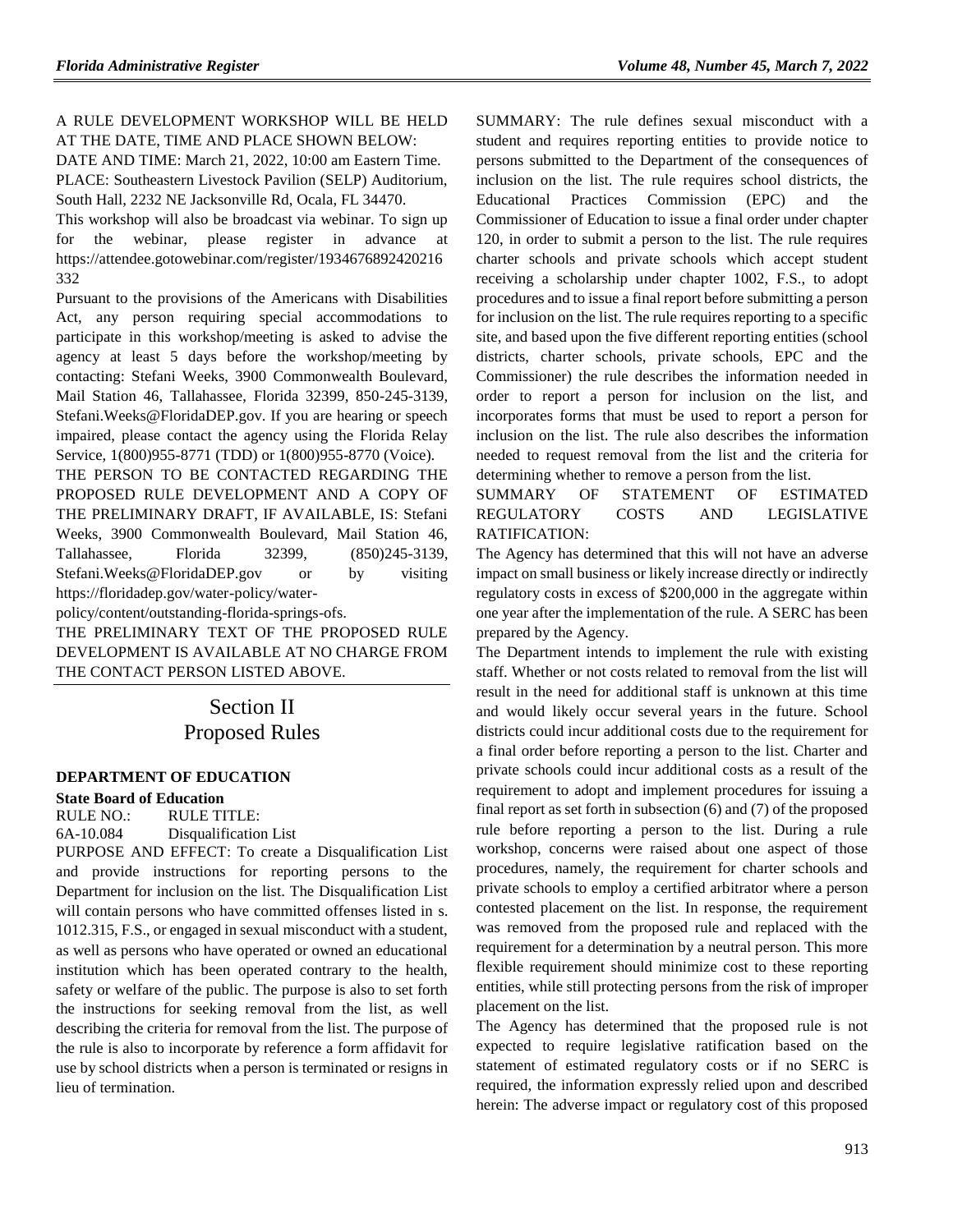# A RULE DEVELOPMENT WORKSHOP WILL BE HELD AT THE DATE, TIME AND PLACE SHOWN BELOW:

DATE AND TIME: March 21, 2022, 10:00 am Eastern Time. PLACE: Southeastern Livestock Pavilion (SELP) Auditorium, South Hall, 2232 NE Jacksonville Rd, Ocala, FL 34470.

This workshop will also be broadcast via webinar. To sign up for the webinar, please register in advance at https://attendee.gotowebinar.com/register/1934676892420216 332

Pursuant to the provisions of the Americans with Disabilities Act, any person requiring special accommodations to participate in this workshop/meeting is asked to advise the agency at least 5 days before the workshop/meeting by contacting: Stefani Weeks, 3900 Commonwealth Boulevard, Mail Station 46, Tallahassee, Florida 32399, 850-245-3139, Stefani.Weeks@FloridaDEP.gov. If you are hearing or speech impaired, please contact the agency using the Florida Relay Service, 1(800)955-8771 (TDD) or 1(800)955-8770 (Voice).

THE PERSON TO BE CONTACTED REGARDING THE PROPOSED RULE DEVELOPMENT AND A COPY OF THE PRELIMINARY DRAFT, IF AVAILABLE, IS: Stefani Weeks, 3900 Commonwealth Boulevard, Mail Station 46, Tallahassee, Florida 32399, (850)245-3139, Stefani.Weeks@FloridaDEP.gov or by visiting https://floridadep.gov/water-policy/water-

policy/content/outstanding-florida-springs-ofs.

THE PRELIMINARY TEXT OF THE PROPOSED RULE DEVELOPMENT IS AVAILABLE AT NO CHARGE FROM THE CONTACT PERSON LISTED ABOVE.

# Section II Proposed Rules

### **[DEPARTMENT OF EDUCATION](https://www.flrules.org/gateway/department.asp?id=6)**

### **[State Board of Education](https://www.flrules.org/gateway/organization.asp?id=195)**

RULE NO.: RULE TITLE: [6A-10.084](https://www.flrules.org/gateway/ruleNo.asp?id=6A-10.084) Disqualification List

PURPOSE AND EFFECT: To create a Disqualification List and provide instructions for reporting persons to the Department for inclusion on the list. The Disqualification List will contain persons who have committed offenses listed in s. 1012.315, F.S., or engaged in sexual misconduct with a student, as well as persons who have operated or owned an educational institution which has been operated contrary to the health, safety or welfare of the public. The purpose is also to set forth the instructions for seeking removal from the list, as well describing the criteria for removal from the list. The purpose of the rule is also to incorporate by reference a form affidavit for use by school districts when a person is terminated or resigns in lieu of termination.

SUMMARY: The rule defines sexual misconduct with a student and requires reporting entities to provide notice to persons submitted to the Department of the consequences of inclusion on the list. The rule requires school districts, the Educational Practices Commission (EPC) and the Commissioner of Education to issue a final order under chapter 120, in order to submit a person to the list. The rule requires charter schools and private schools which accept student receiving a scholarship under chapter 1002, F.S., to adopt procedures and to issue a final report before submitting a person for inclusion on the list. The rule requires reporting to a specific site, and based upon the five different reporting entities (school districts, charter schools, private schools, EPC and the Commissioner) the rule describes the information needed in order to report a person for inclusion on the list, and incorporates forms that must be used to report a person for inclusion on the list. The rule also describes the information needed to request removal from the list and the criteria for determining whether to remove a person from the list.

### SUMMARY OF STATEMENT OF ESTIMATED REGULATORY COSTS AND LEGISLATIVE RATIFICATION:

The Agency has determined that this will not have an adverse impact on small business or likely increase directly or indirectly regulatory costs in excess of \$200,000 in the aggregate within one year after the implementation of the rule. A SERC has been prepared by the Agency.

The Department intends to implement the rule with existing staff. Whether or not costs related to removal from the list will result in the need for additional staff is unknown at this time and would likely occur several years in the future. School districts could incur additional costs due to the requirement for a final order before reporting a person to the list. Charter and private schools could incur additional costs as a result of the requirement to adopt and implement procedures for issuing a final report as set forth in subsection (6) and (7) of the proposed rule before reporting a person to the list. During a rule workshop, concerns were raised about one aspect of those procedures, namely, the requirement for charter schools and private schools to employ a certified arbitrator where a person contested placement on the list. In response, the requirement was removed from the proposed rule and replaced with the requirement for a determination by a neutral person. This more flexible requirement should minimize cost to these reporting entities, while still protecting persons from the risk of improper placement on the list.

The Agency has determined that the proposed rule is not expected to require legislative ratification based on the statement of estimated regulatory costs or if no SERC is required, the information expressly relied upon and described herein: The adverse impact or regulatory cost of this proposed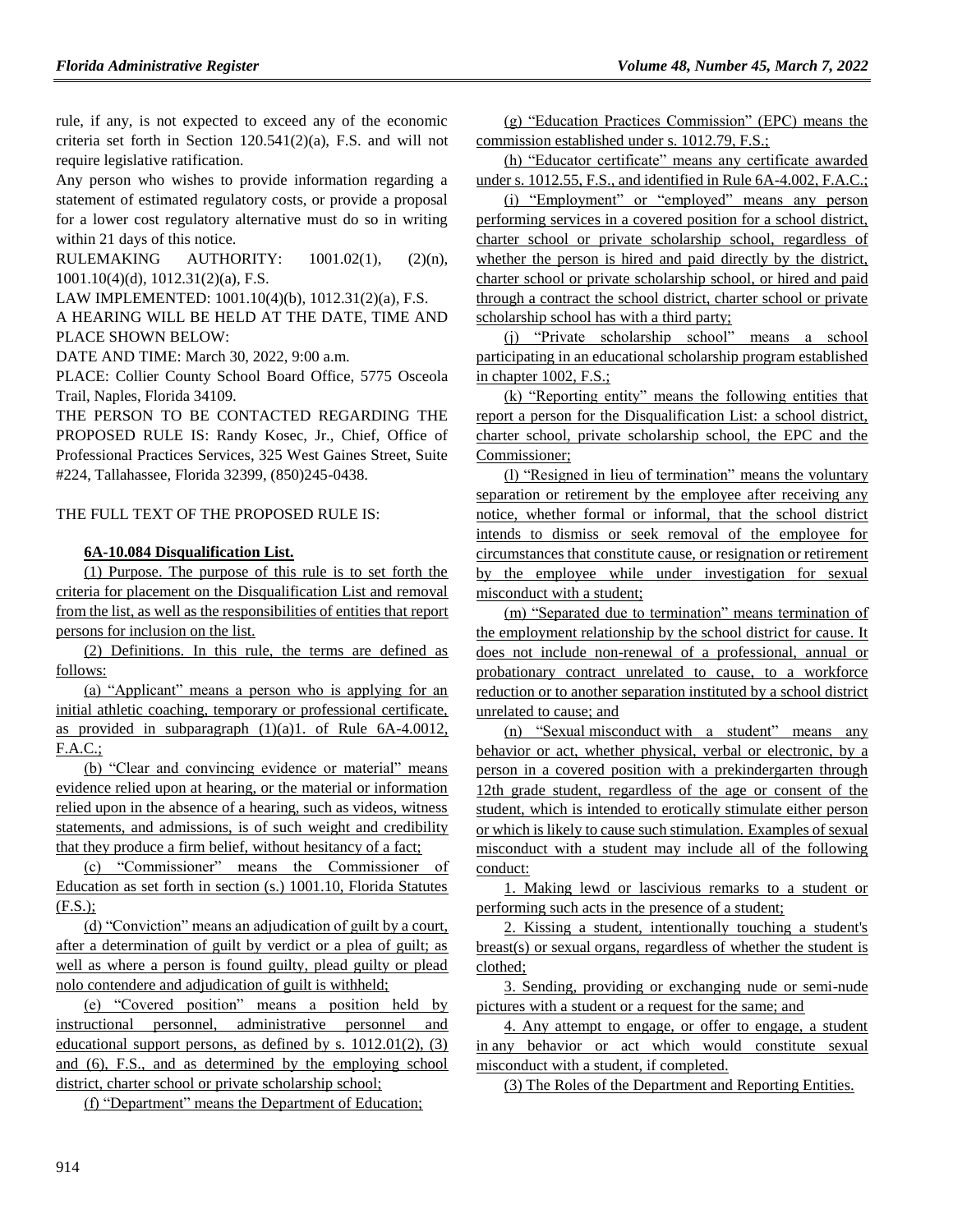rule, if any, is not expected to exceed any of the economic criteria set forth in Section 120.541(2)(a), F.S. and will not require legislative ratification.

Any person who wishes to provide information regarding a statement of estimated regulatory costs, or provide a proposal for a lower cost regulatory alternative must do so in writing within 21 days of this notice.

RULEMAKING AUTHORITY:  $1001.02(1)$ ,  $(2)(n)$ , [1001.10\(4\)\(d\),](https://www.flrules.org/gateway/statute.asp?id=%201001.10(4)(d)) [1012.31\(2\)\(a\),](https://www.flrules.org/gateway/statute.asp?id=%201012.31(2)(a)) F.S.

LAW IMPLEMENTED: [1001.10\(4\)\(b\),](https://www.flrules.org/gateway/statute.asp?id=1001.10(4)(b)) [1012.31\(2\)\(a\),](https://www.flrules.org/gateway/statute.asp?id=%201012.31(2)(a)) F.S.

A HEARING WILL BE HELD AT THE DATE, TIME AND PLACE SHOWN BELOW:

DATE AND TIME: March 30, 2022, 9:00 a.m.

PLACE: Collier County School Board Office, 5775 Osceola Trail, Naples, Florida 34109.

THE PERSON TO BE CONTACTED REGARDING THE PROPOSED RULE IS: Randy Kosec, Jr., Chief, Office of Professional Practices Services, 325 West Gaines Street, Suite #224, Tallahassee, Florida 32399, (850)245-0438.

THE FULL TEXT OF THE PROPOSED RULE IS:

#### **6A-10.084 Disqualification List.**

(1) Purpose. The purpose of this rule is to set forth the criteria for placement on the Disqualification List and removal from the list, as well as the responsibilities of entities that report persons for inclusion on the list.

(2) Definitions. In this rule, the terms are defined as follows:

(a) "Applicant" means a person who is applying for an initial athletic coaching, temporary or professional certificate, as provided in subparagraph  $(1)(a)1$ . of Rule 6A-4.0012, F.A.C.;

(b) "Clear and convincing evidence or material" means evidence relied upon at hearing, or the material or information relied upon in the absence of a hearing, such as videos, witness statements, and admissions, is of such weight and credibility that they produce a firm belief, without hesitancy of a fact;

(c) "Commissioner" means the Commissioner of Education as set forth in section (s.) 1001.10, Florida Statutes (F.S.);

(d) "Conviction" means an adjudication of guilt by a court, after a determination of guilt by verdict or a plea of guilt; as well as where a person is found guilty, plead guilty or plead nolo contendere and adjudication of guilt is withheld;

(e) "Covered position" means a position held by instructional personnel, administrative personnel and educational support persons, as defined by s.  $1012.01(2)$ ,  $(3)$ and (6), F.S., and as determined by the employing school district, charter school or private scholarship school;

(f) "Department" means the Department of Education;

(g) "Education Practices Commission" (EPC) means the commission established under s. 1012.79, F.S.;

(h) "Educator certificate" means any certificate awarded under s. 1012.55, F.S., and identified in Rule 6A-4.002, F.A.C.;

(i) "Employment" or "employed" means any person performing services in a covered position for a school district, charter school or private scholarship school, regardless of whether the person is hired and paid directly by the district, charter school or private scholarship school, or hired and paid through a contract the school district, charter school or private scholarship school has with a third party;

(j) "Private scholarship school" means a school participating in an educational scholarship program established in chapter 1002, F.S.;

(k) "Reporting entity" means the following entities that report a person for the Disqualification List: a school district, charter school, private scholarship school, the EPC and the Commissioner;

(l) "Resigned in lieu of termination" means the voluntary separation or retirement by the employee after receiving any notice, whether formal or informal, that the school district intends to dismiss or seek removal of the employee for circumstances that constitute cause, or resignation or retirement by the employee while under investigation for sexual misconduct with a student;

(m) "Separated due to termination" means termination of the employment relationship by the school district for cause. It does not include non-renewal of a professional, annual or probationary contract unrelated to cause, to a workforce reduction or to another separation instituted by a school district unrelated to cause; and

(n) "Sexual misconduct with a student" means any behavior or act, whether physical, verbal or electronic, by a person in a covered position with a prekindergarten through 12th grade student, regardless of the age or consent of the student, which is intended to erotically stimulate either person or which is likely to cause such stimulation. Examples of sexual misconduct with a student may include all of the following conduct:

1. Making lewd or lascivious remarks to a student or performing such acts in the presence of a student;

2. Kissing a student, intentionally touching a student's breast(s) or sexual organs, regardless of whether the student is clothed;

3. Sending, providing or exchanging nude or semi-nude pictures with a student or a request for the same; and

4. Any attempt to engage, or offer to engage, a student in any behavior or act which would constitute sexual misconduct with a student, if completed.

(3) The Roles of the Department and Reporting Entities.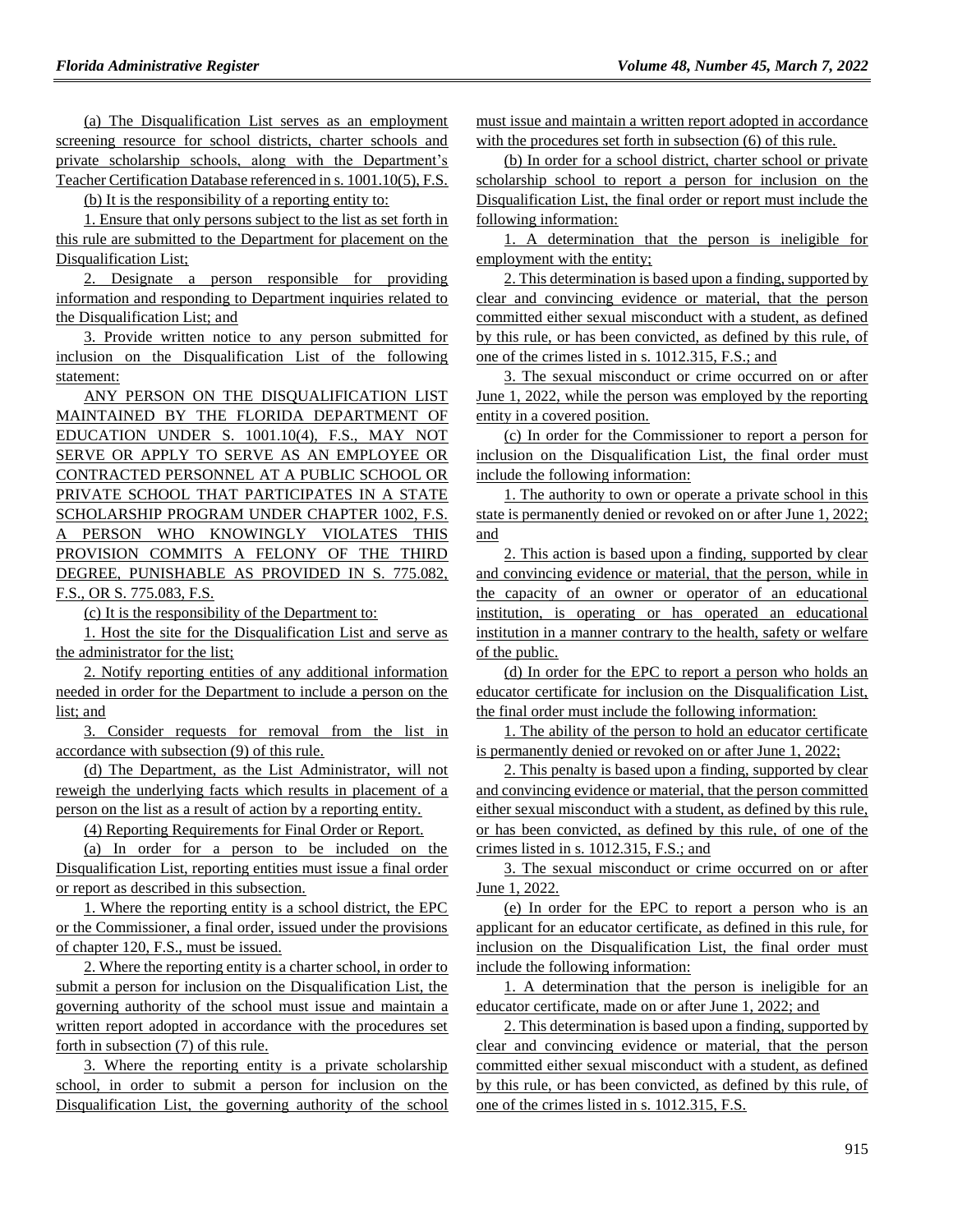(a) The Disqualification List serves as an employment screening resource for school districts, charter schools and private scholarship schools, along with the Department's Teacher Certification Database referenced in s. 1001.10(5), F.S.

(b) It is the responsibility of a reporting entity to:

1. Ensure that only persons subject to the list as set forth in this rule are submitted to the Department for placement on the Disqualification List;

2. Designate a person responsible for providing information and responding to Department inquiries related to the Disqualification List; and

3. Provide written notice to any person submitted for inclusion on the Disqualification List of the following statement:

ANY PERSON ON THE DISQUALIFICATION LIST MAINTAINED BY THE FLORIDA DEPARTMENT OF EDUCATION UNDER S. 1001.10(4), F.S., MAY NOT SERVE OR APPLY TO SERVE AS AN EMPLOYEE OR CONTRACTED PERSONNEL AT A PUBLIC SCHOOL OR PRIVATE SCHOOL THAT PARTICIPATES IN A STATE SCHOLARSHIP PROGRAM UNDER CHAPTER 1002, F.S. A PERSON WHO KNOWINGLY VIOLATES THIS PROVISION COMMITS A FELONY OF THE THIRD DEGREE, PUNISHABLE AS PROVIDED IN S. 775.082, F.S., OR S. 775.083, F.S.

(c) It is the responsibility of the Department to:

1. Host the site for the Disqualification List and serve as the administrator for the list;

2. Notify reporting entities of any additional information needed in order for the Department to include a person on the list; and

3. Consider requests for removal from the list in accordance with subsection (9) of this rule.

(d) The Department, as the List Administrator, will not reweigh the underlying facts which results in placement of a person on the list as a result of action by a reporting entity.

(4) Reporting Requirements for Final Order or Report.

(a) In order for a person to be included on the Disqualification List, reporting entities must issue a final order or report as described in this subsection.

1. Where the reporting entity is a school district, the EPC or the Commissioner, a final order, issued under the provisions of chapter 120, F.S., must be issued.

2. Where the reporting entity is a charter school, in order to submit a person for inclusion on the Disqualification List, the governing authority of the school must issue and maintain a written report adopted in accordance with the procedures set forth in subsection (7) of this rule.

3. Where the reporting entity is a private scholarship school, in order to submit a person for inclusion on the Disqualification List, the governing authority of the school must issue and maintain a written report adopted in accordance with the procedures set forth in subsection (6) of this rule.

(b) In order for a school district, charter school or private scholarship school to report a person for inclusion on the Disqualification List, the final order or report must include the following information:

1. A determination that the person is ineligible for employment with the entity;

2. This determination is based upon a finding, supported by clear and convincing evidence or material, that the person committed either sexual misconduct with a student, as defined by this rule, or has been convicted, as defined by this rule, of one of the crimes listed in s. 1012.315, F.S.; and

3. The sexual misconduct or crime occurred on or after June 1, 2022, while the person was employed by the reporting entity in a covered position.

(c) In order for the Commissioner to report a person for inclusion on the Disqualification List, the final order must include the following information:

1. The authority to own or operate a private school in this state is permanently denied or revoked on or after June 1, 2022; and

2. This action is based upon a finding, supported by clear and convincing evidence or material, that the person, while in the capacity of an owner or operator of an educational institution, is operating or has operated an educational institution in a manner contrary to the health, safety or welfare of the public.

(d) In order for the EPC to report a person who holds an educator certificate for inclusion on the Disqualification List, the final order must include the following information:

1. The ability of the person to hold an educator certificate is permanently denied or revoked on or after June 1, 2022;

2. This penalty is based upon a finding, supported by clear and convincing evidence or material, that the person committed either sexual misconduct with a student, as defined by this rule, or has been convicted, as defined by this rule, of one of the crimes listed in s. 1012.315, F.S.; and

3. The sexual misconduct or crime occurred on or after June 1, 2022.

(e) In order for the EPC to report a person who is an applicant for an educator certificate, as defined in this rule, for inclusion on the Disqualification List, the final order must include the following information:

1. A determination that the person is ineligible for an educator certificate, made on or after June 1, 2022; and

2. This determination is based upon a finding, supported by clear and convincing evidence or material, that the person committed either sexual misconduct with a student, as defined by this rule, or has been convicted, as defined by this rule, of one of the crimes listed in s. 1012.315, F.S.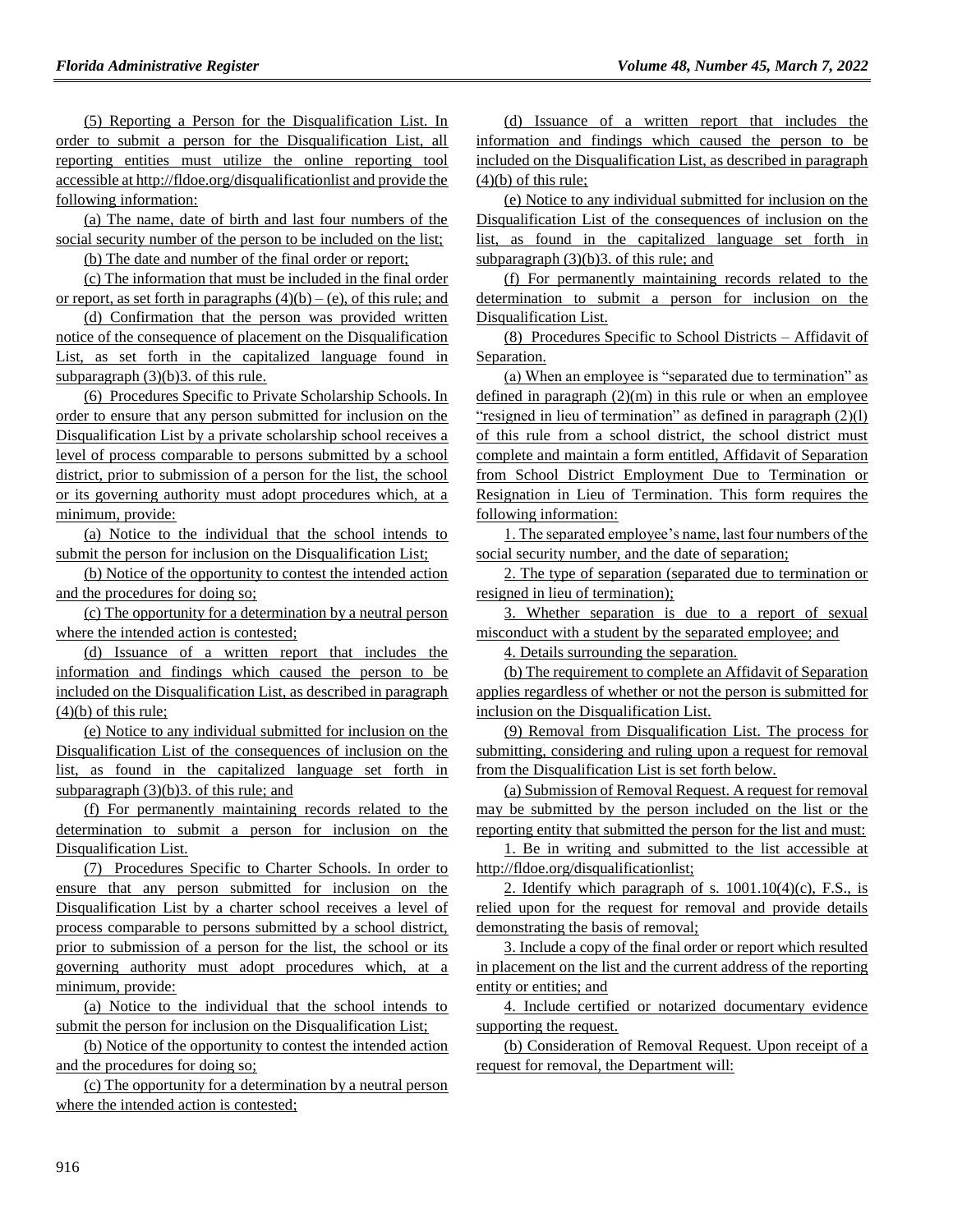(5) Reporting a Person for the Disqualification List. In order to submit a person for the Disqualification List, all reporting entities must utilize the online reporting tool accessible at http://fldoe.org/disqualificationlist and provide the following information:

(a) The name, date of birth and last four numbers of the social security number of the person to be included on the list;

(b) The date and number of the final order or report;

(c) The information that must be included in the final order or report, as set forth in paragraphs  $(4)(b) - (e)$ , of this rule; and

(d) Confirmation that the person was provided written notice of the consequence of placement on the Disqualification List, as set forth in the capitalized language found in subparagraph  $(3)(b)3$ . of this rule.

(6) Procedures Specific to Private Scholarship Schools. In order to ensure that any person submitted for inclusion on the Disqualification List by a private scholarship school receives a level of process comparable to persons submitted by a school district, prior to submission of a person for the list, the school or its governing authority must adopt procedures which, at a minimum, provide:

(a) Notice to the individual that the school intends to submit the person for inclusion on the Disqualification List;

(b) Notice of the opportunity to contest the intended action and the procedures for doing so;

(c) The opportunity for a determination by a neutral person where the intended action is contested;

(d) Issuance of a written report that includes the information and findings which caused the person to be included on the Disqualification List, as described in paragraph  $(4)(b)$  of this rule;

(e) Notice to any individual submitted for inclusion on the Disqualification List of the consequences of inclusion on the list, as found in the capitalized language set forth in subparagraph (3)(b)3. of this rule; and

(f) For permanently maintaining records related to the determination to submit a person for inclusion on the Disqualification List.

(7) Procedures Specific to Charter Schools. In order to ensure that any person submitted for inclusion on the Disqualification List by a charter school receives a level of process comparable to persons submitted by a school district, prior to submission of a person for the list, the school or its governing authority must adopt procedures which, at a minimum, provide:

(a) Notice to the individual that the school intends to submit the person for inclusion on the Disqualification List;

(b) Notice of the opportunity to contest the intended action and the procedures for doing so;

(c) The opportunity for a determination by a neutral person where the intended action is contested;

(d) Issuance of a written report that includes the information and findings which caused the person to be included on the Disqualification List, as described in paragraph  $(4)(b)$  of this rule;

(e) Notice to any individual submitted for inclusion on the Disqualification List of the consequences of inclusion on the list, as found in the capitalized language set forth in subparagraph (3)(b)3. of this rule; and

(f) For permanently maintaining records related to the determination to submit a person for inclusion on the Disqualification List.

(8) Procedures Specific to School Districts – Affidavit of Separation.

(a) When an employee is "separated due to termination" as defined in paragraph  $(2)(m)$  in this rule or when an employee "resigned in lieu of termination" as defined in paragraph (2)(l) of this rule from a school district, the school district must complete and maintain a form entitled, Affidavit of Separation from School District Employment Due to Termination or Resignation in Lieu of Termination. This form requires the following information:

1. The separated employee's name, last four numbers of the social security number, and the date of separation;

2. The type of separation (separated due to termination or resigned in lieu of termination);

3. Whether separation is due to a report of sexual misconduct with a student by the separated employee; and

4. Details surrounding the separation.

(b) The requirement to complete an Affidavit of Separation applies regardless of whether or not the person is submitted for inclusion on the Disqualification List.

(9) Removal from Disqualification List. The process for submitting, considering and ruling upon a request for removal from the Disqualification List is set forth below.

(a) Submission of Removal Request. A request for removal may be submitted by the person included on the list or the reporting entity that submitted the person for the list and must:

1. Be in writing and submitted to the list accessible at http://fldoe.org/disqualificationlist;

2. Identify which paragraph of s.  $1001.10(4)(c)$ , F.S., is relied upon for the request for removal and provide details demonstrating the basis of removal;

3. Include a copy of the final order or report which resulted in placement on the list and the current address of the reporting entity or entities; and

4. Include certified or notarized documentary evidence supporting the request.

(b) Consideration of Removal Request. Upon receipt of a request for removal, the Department will: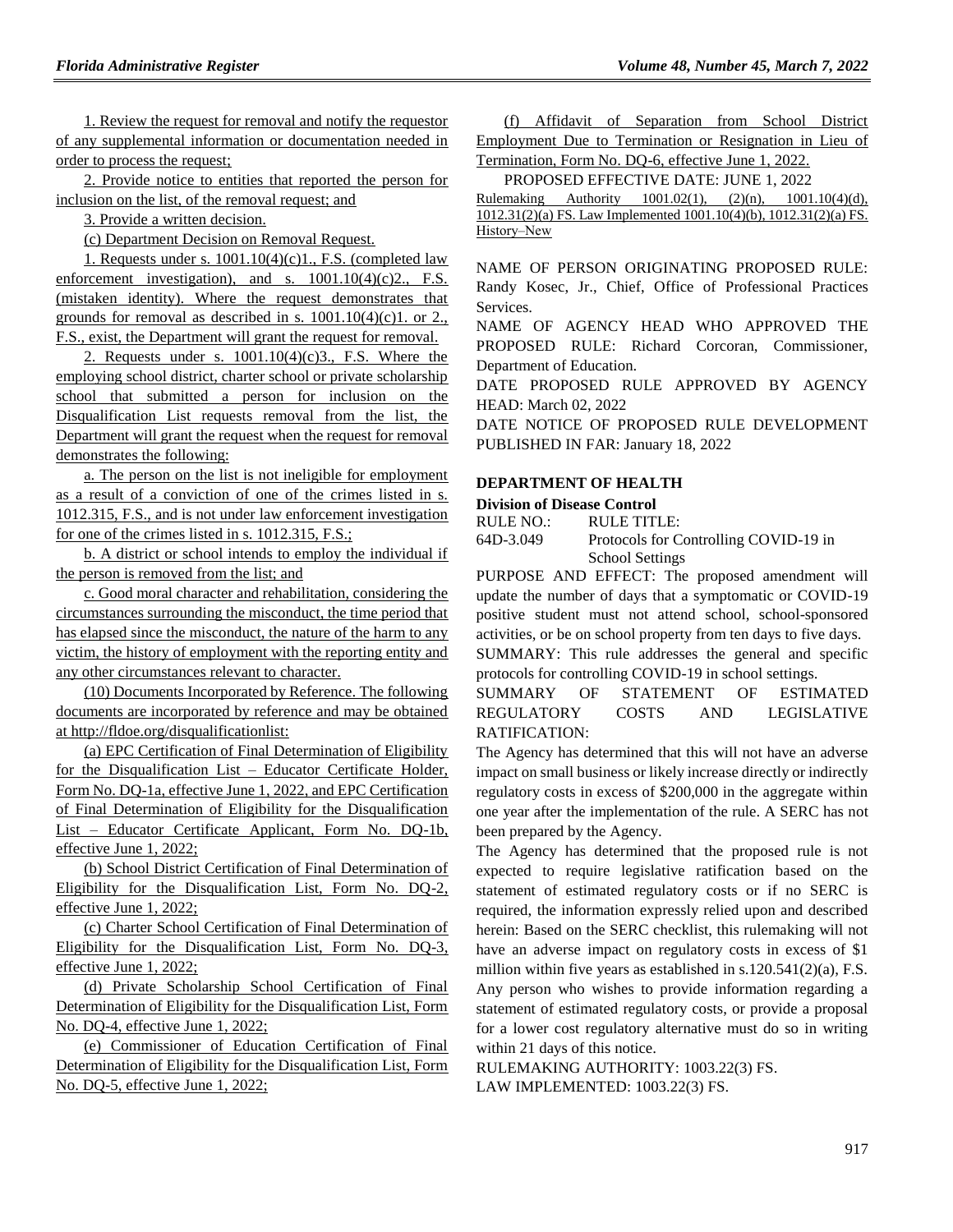1. Review the request for removal and notify the requestor of any supplemental information or documentation needed in order to process the request;

2. Provide notice to entities that reported the person for inclusion on the list, of the removal request; and

3. Provide a written decision.

(c) Department Decision on Removal Request.

1. Requests under s.  $1001.10(4)(c)1., F.S.$  (completed law enforcement investigation), and s.  $1001.10(4)(c)2$ ., F.S. (mistaken identity). Where the request demonstrates that grounds for removal as described in s.  $1001.10(4)(c)1$ . or 2., F.S., exist, the Department will grant the request for removal.

2. Requests under s.  $1001.10(4)(c)3$ , F.S. Where the employing school district, charter school or private scholarship school that submitted a person for inclusion on the Disqualification List requests removal from the list, the Department will grant the request when the request for removal demonstrates the following:

a. The person on the list is not ineligible for employment as a result of a conviction of one of the crimes listed in s. 1012.315, F.S., and is not under law enforcement investigation for one of the crimes listed in s. 1012.315, F.S.;

b. A district or school intends to employ the individual if the person is removed from the list; and

c. Good moral character and rehabilitation, considering the circumstances surrounding the misconduct, the time period that has elapsed since the misconduct, the nature of the harm to any victim, the history of employment with the reporting entity and any other circumstances relevant to character.

(10) Documents Incorporated by Reference. The following documents are incorporated by reference and may be obtained at http://fldoe.org/disqualificationlist:

(a) EPC Certification of Final Determination of Eligibility for the Disqualification List – Educator Certificate Holder, Form No. DQ-1a, effective June 1, 2022, and EPC Certification of Final Determination of Eligibility for the Disqualification List – Educator Certificate Applicant, Form No. DQ-1b, effective June 1, 2022;

(b) School District Certification of Final Determination of Eligibility for the Disqualification List, Form No. DQ-2, effective June 1, 2022;

(c) Charter School Certification of Final Determination of Eligibility for the Disqualification List, Form No. DQ-3, effective June 1, 2022;

(d) Private Scholarship School Certification of Final Determination of Eligibility for the Disqualification List, Form No. DQ-4, effective June 1, 2022;

(e) Commissioner of Education Certification of Final Determination of Eligibility for the Disqualification List, Form No. DQ-5, effective June 1, 2022;

(f) Affidavit of Separation from School District Employment Due to Termination or Resignation in Lieu of Termination, Form No. DQ-6, effective June 1, 2022.

PROPOSED EFFECTIVE DATE: JUNE 1, 2022 Rulemaking Authority  $1001.02(1)$ ,  $(2)(n)$ ,  $1001.10(4)(d)$ , 1012.31(2)(a) FS. Law Implemented 1001.10(4)(b), 1012.31(2)(a) FS. History-New

NAME OF PERSON ORIGINATING PROPOSED RULE: Randy Kosec, Jr., Chief, Office of Professional Practices Services.

NAME OF AGENCY HEAD WHO APPROVED THE PROPOSED RULE: Richard Corcoran, Commissioner, Department of Education.

DATE PROPOSED RULE APPROVED BY AGENCY HEAD: March 02, 2022

DATE NOTICE OF PROPOSED RULE DEVELOPMENT PUBLISHED IN FAR: January 18, 2022

#### **[DEPARTMENT OF HEALTH](https://www.flrules.org/gateway/department.asp?id=64)**

**[Division of Disease Control](https://www.flrules.org/gateway/organization.asp?id=334)**

RULE NO.: RULE TITLE:

[64D-3.049](https://www.flrules.org/gateway/ruleNo.asp?id=64D-3.049) Protocols for Controlling COVID-19 in School Settings

PURPOSE AND EFFECT: The proposed amendment will update the number of days that a symptomatic or COVID-19 positive student must not attend school, school-sponsored activities, or be on school property from ten days to five days.

SUMMARY: This rule addresses the general and specific protocols for controlling COVID-19 in school settings.

SUMMARY OF STATEMENT OF ESTIMATED REGULATORY COSTS AND LEGISLATIVE RATIFICATION:

The Agency has determined that this will not have an adverse impact on small business or likely increase directly or indirectly regulatory costs in excess of \$200,000 in the aggregate within one year after the implementation of the rule. A SERC has not been prepared by the Agency.

The Agency has determined that the proposed rule is not expected to require legislative ratification based on the statement of estimated regulatory costs or if no SERC is required, the information expressly relied upon and described herein: Based on the SERC checklist, this rulemaking will not have an adverse impact on regulatory costs in excess of \$1 million within five years as established in s.120.541(2)(a), F.S. Any person who wishes to provide information regarding a statement of estimated regulatory costs, or provide a proposal for a lower cost regulatory alternative must do so in writing within 21 days of this notice.

RULEMAKING AUTHORITY: [1003.22\(3\) FS.](https://www.flrules.org/gateway/cfr.asp?id=1003.22(3)%20FS) LAW IMPLEMENTED: [1003.22\(3\) FS.](https://www.flrules.org/gateway/cfr.asp?id=1003.22(3)%20FS)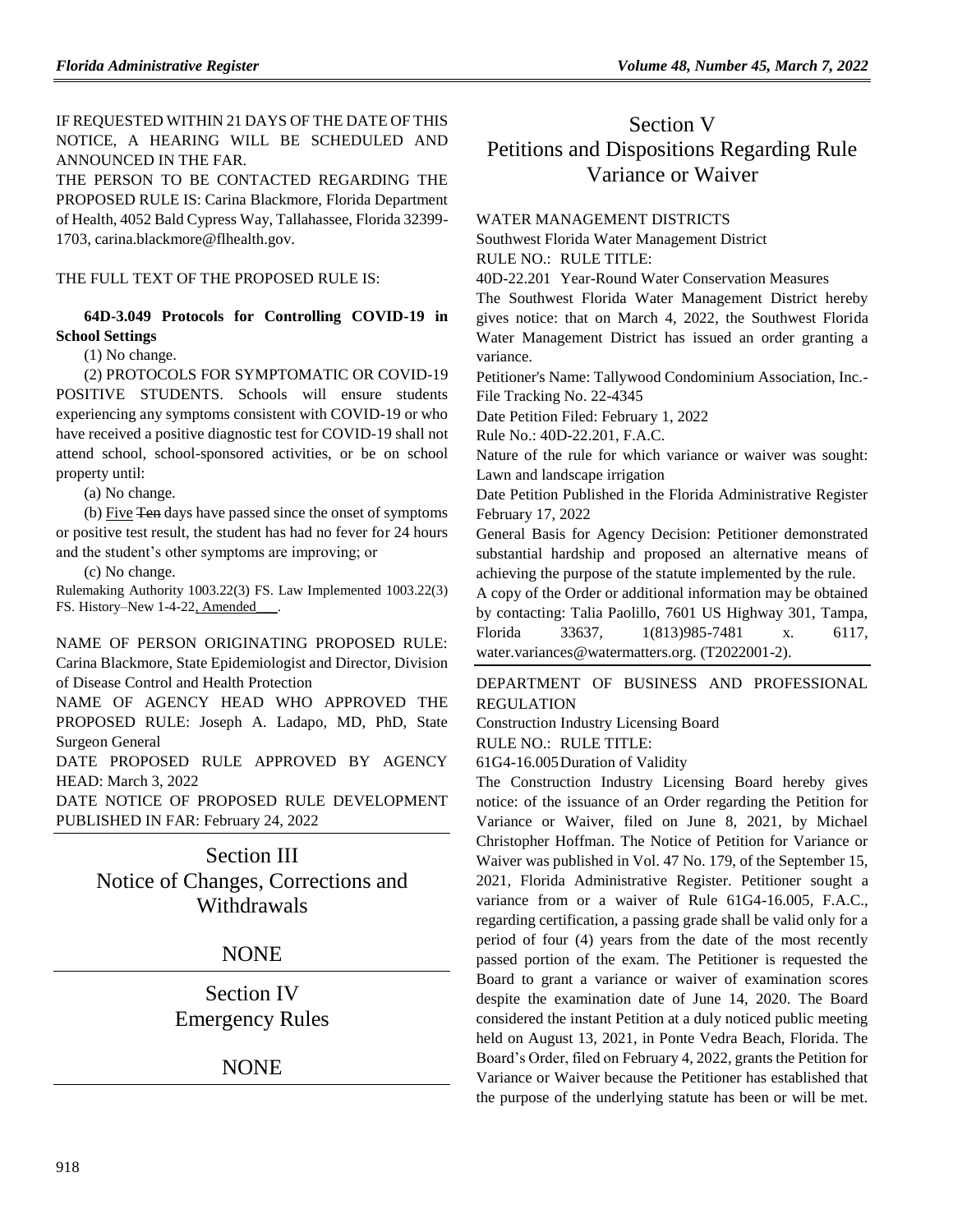IF REQUESTED WITHIN 21 DAYS OF THE DATE OF THIS NOTICE, A HEARING WILL BE SCHEDULED AND ANNOUNCED IN THE FAR.

THE PERSON TO BE CONTACTED REGARDING THE PROPOSED RULE IS: Carina Blackmore, Florida Department of Health, 4052 Bald Cypress Way, Tallahassee, Florida 32399- 1703, carina.blackmore@flhealth.gov.

THE FULL TEXT OF THE PROPOSED RULE IS:

**64D-3.049 Protocols for Controlling COVID-19 in School Settings**

(1) No change.

(2) PROTOCOLS FOR SYMPTOMATIC OR COVID-19 POSITIVE STUDENTS. Schools will ensure students experiencing any symptoms consistent with COVID-19 or who have received a positive diagnostic test for COVID-19 shall not attend school, school-sponsored activities, or be on school property until:

(a) No change.

(b) Five Ten days have passed since the onset of symptoms or positive test result, the student has had no fever for 24 hours and the student's other symptoms are improving; or

(c) No change.

Rulemaking Authority 1003.22(3) FS. Law Implemented 1003.22(3) FS. History–New 1-4-22, Amended

NAME OF PERSON ORIGINATING PROPOSED RULE: Carina Blackmore, State Epidemiologist and Director, Division of Disease Control and Health Protection

NAME OF AGENCY HEAD WHO APPROVED THE PROPOSED RULE: Joseph A. Ladapo, MD, PhD, State Surgeon General

DATE PROPOSED RULE APPROVED BY AGENCY HEAD: March 3, 2022

DATE NOTICE OF PROPOSED RULE DEVELOPMENT PUBLISHED IN FAR: February 24, 2022

# Section III

Notice of Changes, Corrections and Withdrawals

# NONE

Section IV Emergency Rules

# NONE

# Section V Petitions and Dispositions Regarding Rule Variance or Waiver

#### [WATER MANAGEMENT DISTRICTS](https://www.flrules.org/gateway/department.asp?id=40)

[Southwest Florida Water Management District](https://www.flrules.org/gateway/organization.asp?id=123)

RULE NO.: RULE TITLE:

[40D-22.201](https://www.flrules.org/gateway/ruleNo.asp?id=40D-22.201) Year-Round Water Conservation Measures

The Southwest Florida Water Management District hereby gives notice: that on March 4, 2022, the Southwest Florida Water Management District has issued an order granting a variance.

Petitioner's Name: Tallywood Condominium Association, Inc.- File Tracking No. 22-4345

Date Petition Filed: February 1, 2022

Rule No.: 40D-22.201, F.A.C.

Nature of the rule for which variance or waiver was sought: Lawn and landscape irrigation

Date Petition Published in the Florida Administrative Register February 17, 2022

General Basis for Agency Decision: Petitioner demonstrated substantial hardship and proposed an alternative means of achieving the purpose of the statute implemented by the rule.

A copy of the Order or additional information may be obtained by contacting: Talia Paolillo, 7601 US Highway 301, Tampa, Florida 33637, 1(813)985-7481 x. 6117, water.variances@watermatters.org. (T2022001-2).

[DEPARTMENT OF BUSINESS AND PROFESSIONAL](https://www.flrules.org/gateway/department.asp?id=61)  [REGULATION](https://www.flrules.org/gateway/department.asp?id=61)

[Construction Industry Licensing Board](https://www.flrules.org/gateway/organization.asp?id=274)

RULE NO.: RULE TITLE:

[61G4-16.005D](https://www.flrules.org/gateway/ruleNo.asp?id=61G4-16.005)uration of Validity

The Construction Industry Licensing Board hereby gives notice: of the issuance of an Order regarding the Petition for Variance or Waiver, filed on June 8, 2021, by Michael Christopher Hoffman. The Notice of Petition for Variance or Waiver was published in Vol. 47 No. 179, of the September 15, 2021, Florida Administrative Register. Petitioner sought a variance from or a waiver of Rule 61G4-16.005, F.A.C., regarding certification, a passing grade shall be valid only for a period of four (4) years from the date of the most recently passed portion of the exam. The Petitioner is requested the Board to grant a variance or waiver of examination scores despite the examination date of June 14, 2020. The Board considered the instant Petition at a duly noticed public meeting held on August 13, 2021, in Ponte Vedra Beach, Florida. The Board's Order, filed on February 4, 2022, grants the Petition for Variance or Waiver because the Petitioner has established that the purpose of the underlying statute has been or will be met.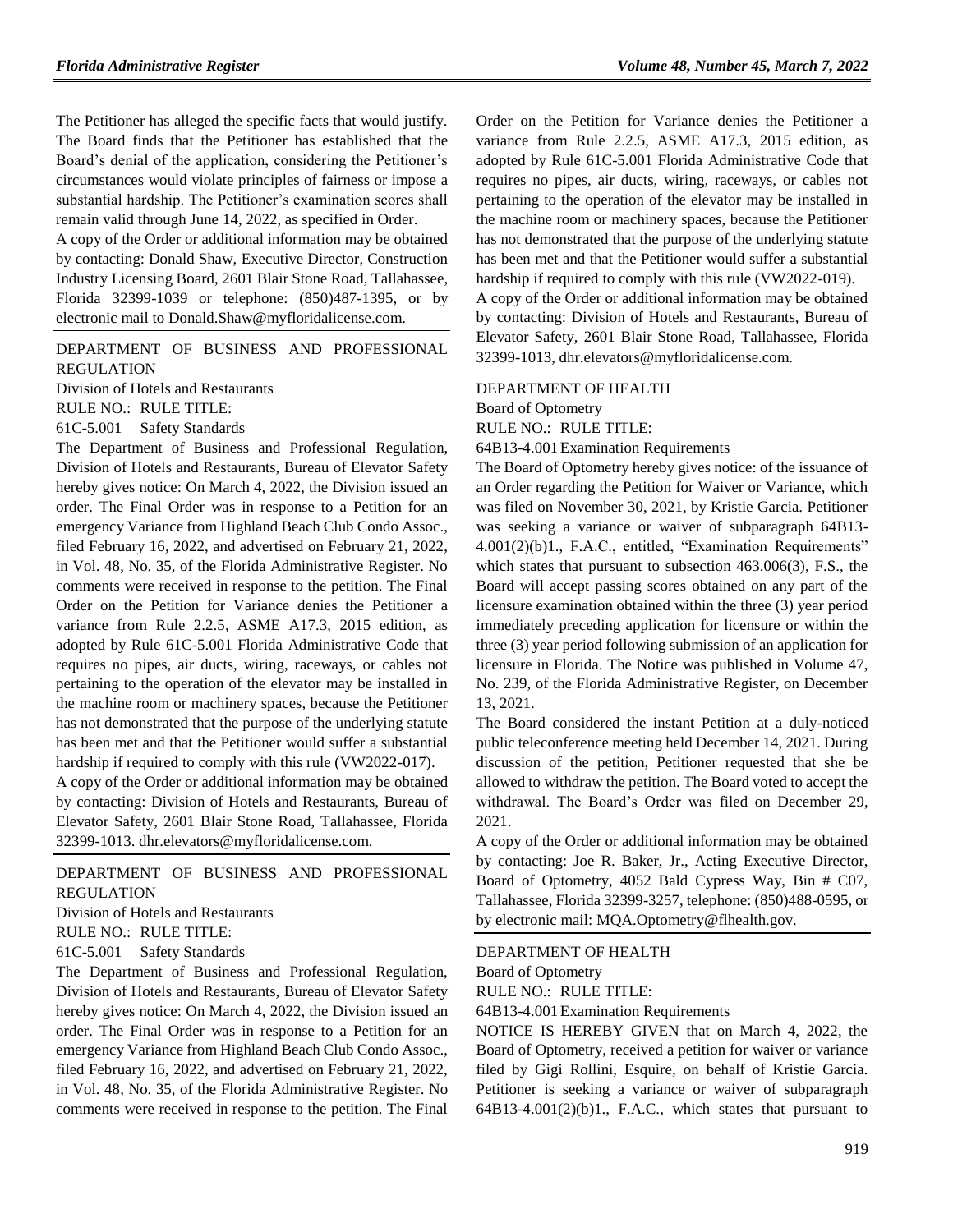The Petitioner has alleged the specific facts that would justify. The Board finds that the Petitioner has established that the Board's denial of the application, considering the Petitioner's circumstances would violate principles of fairness or impose a substantial hardship. The Petitioner's examination scores shall remain valid through June 14, 2022, as specified in Order.

A copy of the Order or additional information may be obtained by contacting: Donald Shaw, Executive Director, Construction Industry Licensing Board, 2601 Blair Stone Road, Tallahassee, Florida 32399-1039 or telephone: (850)487-1395, or by electronic mail to Donald.Shaw@myfloridalicense.com.

[DEPARTMENT OF BUSINESS AND PROFESSIONAL](https://www.flrules.org/gateway/department.asp?id=61)  [REGULATION](https://www.flrules.org/gateway/department.asp?id=61)

[Division of Hotels and Restaurants](https://www.flrules.org/gateway/organization.asp?id=249) RULE NO.: RULE TITLE: [61C-5.001](https://www.flrules.org/gateway/ruleNo.asp?id=61C-5.001) Safety Standards

The Department of Business and Professional Regulation, Division of Hotels and Restaurants, Bureau of Elevator Safety hereby gives notice: On March 4, 2022, the Division issued an order. The Final Order was in response to a Petition for an emergency Variance from Highland Beach Club Condo Assoc., filed February 16, 2022, and advertised on February 21, 2022, in Vol. 48, No. 35, of the Florida Administrative Register. No comments were received in response to the petition. The Final Order on the Petition for Variance denies the Petitioner a variance from Rule 2.2.5, ASME A17.3, 2015 edition, as adopted by Rule 61C-5.001 Florida Administrative Code that requires no pipes, air ducts, wiring, raceways, or cables not pertaining to the operation of the elevator may be installed in the machine room or machinery spaces, because the Petitioner has not demonstrated that the purpose of the underlying statute has been met and that the Petitioner would suffer a substantial hardship if required to comply with this rule (VW2022-017).

A copy of the Order or additional information may be obtained by contacting: Division of Hotels and Restaurants, Bureau of Elevator Safety, 2601 Blair Stone Road, Tallahassee, Florida 32399-1013. dhr.elevators@myfloridalicense.com.

## [DEPARTMENT OF BUSINESS AND PROFESSIONAL](https://www.flrules.org/gateway/department.asp?id=61)  [REGULATION](https://www.flrules.org/gateway/department.asp?id=61)

[Division of Hotels and Restaurants](https://www.flrules.org/gateway/organization.asp?id=249)

RULE NO.: RULE TITLE:

[61C-5.001](https://www.flrules.org/gateway/ruleNo.asp?id=61C-5.001) Safety Standards

The Department of Business and Professional Regulation, Division of Hotels and Restaurants, Bureau of Elevator Safety hereby gives notice: On March 4, 2022, the Division issued an order. The Final Order was in response to a Petition for an emergency Variance from Highland Beach Club Condo Assoc., filed February 16, 2022, and advertised on February 21, 2022, in Vol. 48, No. 35, of the Florida Administrative Register. No comments were received in response to the petition. The Final

Order on the Petition for Variance denies the Petitioner a variance from Rule 2.2.5, ASME A17.3, 2015 edition, as adopted by Rule 61C-5.001 Florida Administrative Code that requires no pipes, air ducts, wiring, raceways, or cables not pertaining to the operation of the elevator may be installed in the machine room or machinery spaces, because the Petitioner has not demonstrated that the purpose of the underlying statute has been met and that the Petitioner would suffer a substantial hardship if required to comply with this rule (VW2022-019). A copy of the Order or additional information may be obtained

by contacting: Division of Hotels and Restaurants, Bureau of Elevator Safety, 2601 Blair Stone Road, Tallahassee, Florida 32399-1013, dhr.elevators@myfloridalicense.com.

# [DEPARTMENT OF HEALTH](https://www.flrules.org/gateway/department.asp?id=64) [Board of Optometry](https://www.flrules.org/gateway/organization.asp?id=304) RULE NO.: RULE TITLE:

[64B13-4.001E](https://www.flrules.org/gateway/ruleNo.asp?id=64B13-4.001)xamination Requirements

The Board of Optometry hereby gives notice: of the issuance of an Order regarding the Petition for Waiver or Variance, which was filed on November 30, 2021, by Kristie Garcia. Petitioner was seeking a variance or waiver of subparagraph 64B13- 4.001(2)(b)1., F.A.C., entitled, "Examination Requirements" which states that pursuant to subsection 463.006(3), F.S., the Board will accept passing scores obtained on any part of the licensure examination obtained within the three (3) year period immediately preceding application for licensure or within the three (3) year period following submission of an application for licensure in Florida. The Notice was published in Volume 47, No. 239, of the Florida Administrative Register, on December 13, 2021.

The Board considered the instant Petition at a duly-noticed public teleconference meeting held December 14, 2021. During discussion of the petition, Petitioner requested that she be allowed to withdraw the petition. The Board voted to accept the withdrawal. The Board's Order was filed on December 29, 2021.

A copy of the Order or additional information may be obtained by contacting: Joe R. Baker, Jr., Acting Executive Director, Board of Optometry, 4052 Bald Cypress Way, Bin # C07, Tallahassee, Florida 32399-3257, telephone: (850)488-0595, or by electronic mail: MQA.Optometry@flhealth.gov.

### [DEPARTMENT OF HEALTH](https://www.flrules.org/gateway/department.asp?id=64) [Board of Optometry](https://www.flrules.org/gateway/organization.asp?id=304) RULE NO.: RULE TITLE:

[64B13-4.001E](https://www.flrules.org/gateway/ruleNo.asp?id=64B13-4.001)xamination Requirements

NOTICE IS HEREBY GIVEN that on March 4, 2022, the Board of Optometry, received a petition for waiver or variance filed by Gigi Rollini, Esquire, on behalf of Kristie Garcia. Petitioner is seeking a variance or waiver of subparagraph  $64B13-4.001(2)(b)1$ ., F.A.C., which states that pursuant to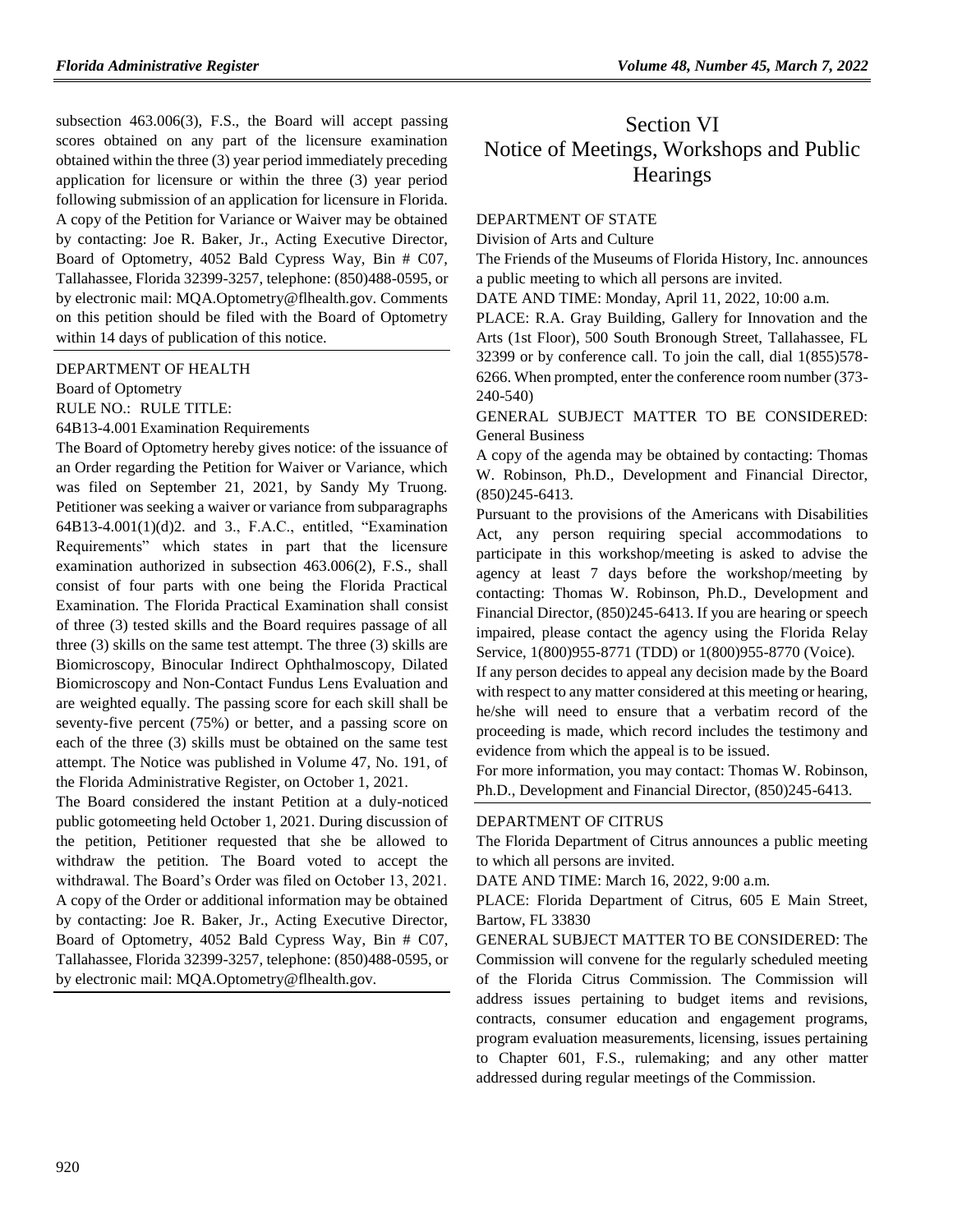subsection 463.006(3), F.S., the Board will accept passing scores obtained on any part of the licensure examination obtained within the three (3) year period immediately preceding application for licensure or within the three (3) year period following submission of an application for licensure in Florida. A copy of the Petition for Variance or Waiver may be obtained by contacting: Joe R. Baker, Jr., Acting Executive Director, Board of Optometry, 4052 Bald Cypress Way, Bin # C07, Tallahassee, Florida 32399-3257, telephone: (850)488-0595, or by electronic mail: MQA.Optometry@flhealth.gov. Comments on this petition should be filed with the Board of Optometry within 14 days of publication of this notice.

[DEPARTMENT OF HEALTH](https://www.flrules.org/gateway/department.asp?id=64)

[Board of Optometry](https://www.flrules.org/gateway/organization.asp?id=304)

RULE NO.: RULE TITLE:

[64B13-4.001E](https://www.flrules.org/gateway/ruleNo.asp?id=64B13-4.001)xamination Requirements

The Board of Optometry hereby gives notice: of the issuance of an Order regarding the Petition for Waiver or Variance, which was filed on September 21, 2021, by Sandy My Truong. Petitioner was seeking a waiver or variance from subparagraphs 64B13-4.001(1)(d)2. and 3., F.A.C., entitled, "Examination Requirements" which states in part that the licensure examination authorized in subsection 463.006(2), F.S., shall consist of four parts with one being the Florida Practical Examination. The Florida Practical Examination shall consist of three (3) tested skills and the Board requires passage of all three (3) skills on the same test attempt. The three (3) skills are Biomicroscopy, Binocular Indirect Ophthalmoscopy, Dilated Biomicroscopy and Non-Contact Fundus Lens Evaluation and are weighted equally. The passing score for each skill shall be seventy-five percent (75%) or better, and a passing score on each of the three (3) skills must be obtained on the same test attempt. The Notice was published in Volume 47, No. 191, of the Florida Administrative Register, on October 1, 2021.

The Board considered the instant Petition at a duly-noticed public gotomeeting held October 1, 2021. During discussion of the petition, Petitioner requested that she be allowed to withdraw the petition. The Board voted to accept the withdrawal. The Board's Order was filed on October 13, 2021. A copy of the Order or additional information may be obtained by contacting: Joe R. Baker, Jr., Acting Executive Director, Board of Optometry, 4052 Bald Cypress Way, Bin # C07, Tallahassee, Florida 32399-3257, telephone: (850)488-0595, or by electronic mail: MQA.Optometry@flhealth.gov.

# Section VI Notice of Meetings, Workshops and Public **Hearings**

#### [DEPARTMENT OF STATE](https://www.flrules.org/gateway/department.asp?id=1)

[Division of Arts and Culture](https://www.flrules.org/gateway/organization.asp?id=17)

The Friends of the Museums of Florida History, Inc. announces a public meeting to which all persons are invited.

DATE AND TIME: Monday, April 11, 2022, 10:00 a.m.

PLACE: R.A. Gray Building, Gallery for Innovation and the Arts (1st Floor), 500 South Bronough Street, Tallahassee, FL 32399 or by conference call. To join the call, dial 1(855)578- 6266. When prompted, enter the conference room number (373- 240-540)

GENERAL SUBJECT MATTER TO BE CONSIDERED: General Business

A copy of the agenda may be obtained by contacting: Thomas W. Robinson, Ph.D., Development and Financial Director, (850)245-6413.

Pursuant to the provisions of the Americans with Disabilities Act, any person requiring special accommodations to participate in this workshop/meeting is asked to advise the agency at least 7 days before the workshop/meeting by contacting: Thomas W. Robinson, Ph.D., Development and Financial Director, (850)245-6413. If you are hearing or speech impaired, please contact the agency using the Florida Relay Service, 1(800)955-8771 (TDD) or 1(800)955-8770 (Voice).

If any person decides to appeal any decision made by the Board with respect to any matter considered at this meeting or hearing, he/she will need to ensure that a verbatim record of the proceeding is made, which record includes the testimony and evidence from which the appeal is to be issued.

For more information, you may contact: Thomas W. Robinson, Ph.D., Development and Financial Director, (850)245-6413.

#### [DEPARTMENT OF CITRUS](https://www.flrules.org/gateway/department.asp?id=20)

The Florida Department of Citrus announces a public meeting to which all persons are invited.

DATE AND TIME: March 16, 2022, 9:00 a.m.

PLACE: Florida Department of Citrus, 605 E Main Street, Bartow, FL 33830

GENERAL SUBJECT MATTER TO BE CONSIDERED: The Commission will convene for the regularly scheduled meeting of the Florida Citrus Commission. The Commission will address issues pertaining to budget items and revisions, contracts, consumer education and engagement programs, program evaluation measurements, licensing, issues pertaining to Chapter 601, F.S., rulemaking; and any other matter addressed during regular meetings of the Commission.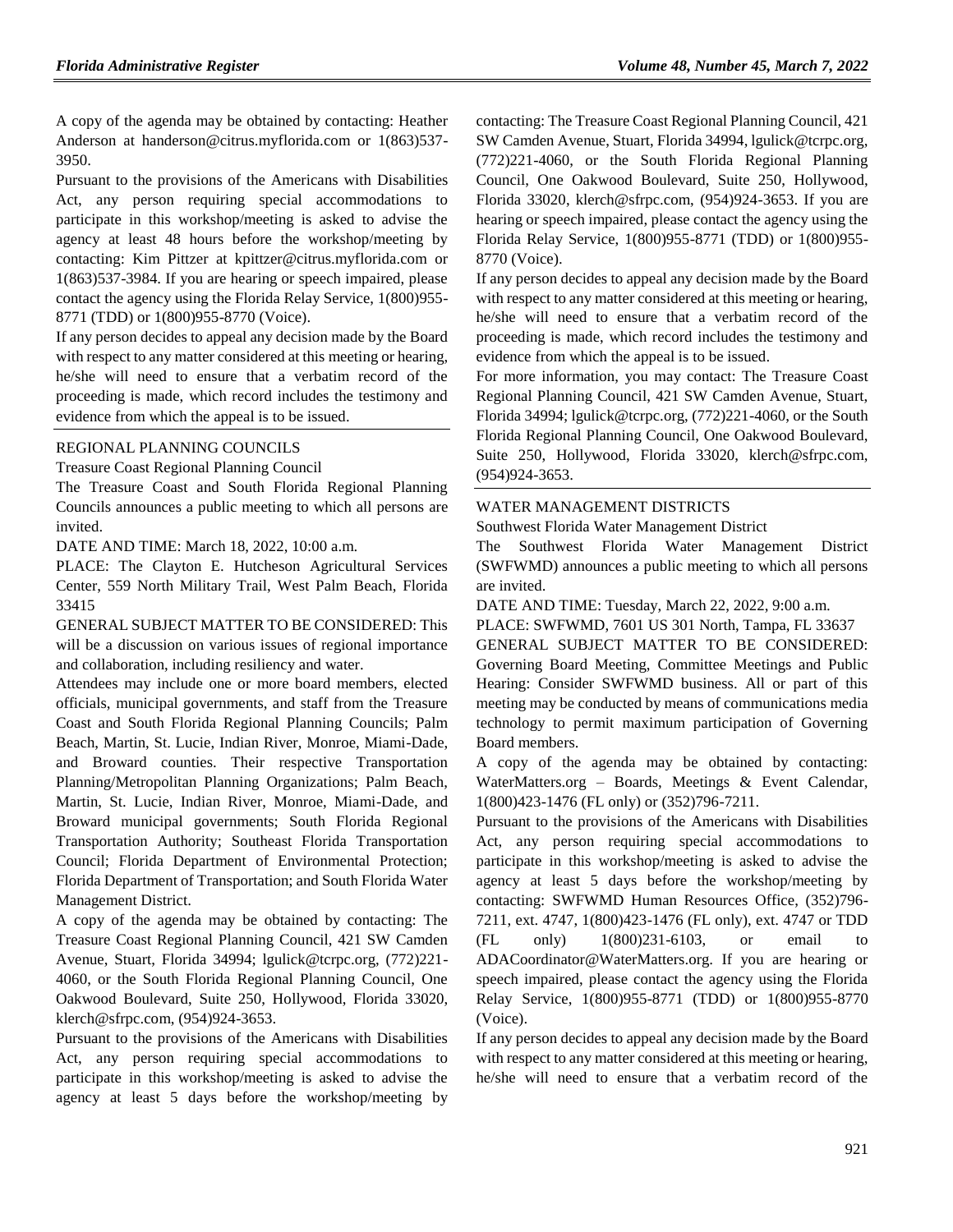A copy of the agenda may be obtained by contacting: Heather Anderson at handerson@citrus.myflorida.com or 1(863)537- 3950.

Pursuant to the provisions of the Americans with Disabilities Act, any person requiring special accommodations to participate in this workshop/meeting is asked to advise the agency at least 48 hours before the workshop/meeting by contacting: Kim Pittzer at kpittzer@citrus.myflorida.com or 1(863)537-3984. If you are hearing or speech impaired, please contact the agency using the Florida Relay Service, 1(800)955- 8771 (TDD) or 1(800)955-8770 (Voice).

If any person decides to appeal any decision made by the Board with respect to any matter considered at this meeting or hearing, he/she will need to ensure that a verbatim record of the proceeding is made, which record includes the testimony and evidence from which the appeal is to be issued.

### [REGIONAL PLANNING COUNCILS](https://www.flrules.org/gateway/department.asp?id=29)

[Treasure Coast Regional Planning Council](https://www.flrules.org/gateway/organization.asp?id=67)

The Treasure Coast and South Florida Regional Planning Councils announces a public meeting to which all persons are invited.

DATE AND TIME: March 18, 2022, 10:00 a.m.

PLACE: The Clayton E. Hutcheson Agricultural Services Center, 559 North Military Trail, West Palm Beach, Florida 33415

GENERAL SUBJECT MATTER TO BE CONSIDERED: This will be a discussion on various issues of regional importance and collaboration, including resiliency and water.

Attendees may include one or more board members, elected officials, municipal governments, and staff from the Treasure Coast and South Florida Regional Planning Councils; Palm Beach, Martin, St. Lucie, Indian River, Monroe, Miami-Dade, and Broward counties. Their respective Transportation Planning/Metropolitan Planning Organizations; Palm Beach, Martin, St. Lucie, Indian River, Monroe, Miami-Dade, and Broward municipal governments; South Florida Regional Transportation Authority; Southeast Florida Transportation Council; Florida Department of Environmental Protection; Florida Department of Transportation; and South Florida Water Management District.

A copy of the agenda may be obtained by contacting: The Treasure Coast Regional Planning Council, 421 SW Camden Avenue, Stuart, Florida 34994; lgulick@tcrpc.org, (772)221- 4060, or the South Florida Regional Planning Council, One Oakwood Boulevard, Suite 250, Hollywood, Florida 33020, klerch@sfrpc.com, (954)924-3653.

Pursuant to the provisions of the Americans with Disabilities Act, any person requiring special accommodations to participate in this workshop/meeting is asked to advise the agency at least 5 days before the workshop/meeting by

contacting: The Treasure Coast Regional Planning Council, 421 SW Camden Avenue, Stuart, Florida 34994, lgulick@tcrpc.org, (772)221-4060, or the South Florida Regional Planning Council, One Oakwood Boulevard, Suite 250, Hollywood, Florida 33020, klerch@sfrpc.com, (954)924-3653. If you are hearing or speech impaired, please contact the agency using the Florida Relay Service, 1(800)955-8771 (TDD) or 1(800)955- 8770 (Voice).

If any person decides to appeal any decision made by the Board with respect to any matter considered at this meeting or hearing, he/she will need to ensure that a verbatim record of the proceeding is made, which record includes the testimony and evidence from which the appeal is to be issued.

For more information, you may contact: The Treasure Coast Regional Planning Council, 421 SW Camden Avenue, Stuart, Florida 34994; lgulick@tcrpc.org, (772)221-4060, or the South Florida Regional Planning Council, One Oakwood Boulevard, Suite 250, Hollywood, Florida 33020, klerch@sfrpc.com, (954)924-3653.

#### [WATER MANAGEMENT DISTRICTS](https://www.flrules.org/gateway/department.asp?id=40)

[Southwest Florida Water Management District](https://www.flrules.org/gateway/organization.asp?id=123)

The Southwest Florida Water Management District (SWFWMD) announces a public meeting to which all persons are invited.

DATE AND TIME: Tuesday, March 22, 2022, 9:00 a.m.

PLACE: SWFWMD, 7601 US 301 North, Tampa, FL 33637

GENERAL SUBJECT MATTER TO BE CONSIDERED: Governing Board Meeting, Committee Meetings and Public Hearing: Consider SWFWMD business. All or part of this meeting may be conducted by means of communications media technology to permit maximum participation of Governing Board members.

A copy of the agenda may be obtained by contacting: WaterMatters.org – Boards, Meetings & Event Calendar, 1(800)423-1476 (FL only) or (352)796-7211.

Pursuant to the provisions of the Americans with Disabilities Act, any person requiring special accommodations to participate in this workshop/meeting is asked to advise the agency at least 5 days before the workshop/meeting by contacting: SWFWMD Human Resources Office, (352)796- 7211, ext. 4747, 1(800)423-1476 (FL only), ext. 4747 or TDD  $(FL \quad only) \quad 1(800)231-6103, \quad or \quad email$ ADACoordinator@WaterMatters.org. If you are hearing or speech impaired, please contact the agency using the Florida Relay Service, 1(800)955-8771 (TDD) or 1(800)955-8770 (Voice).

If any person decides to appeal any decision made by the Board with respect to any matter considered at this meeting or hearing, he/she will need to ensure that a verbatim record of the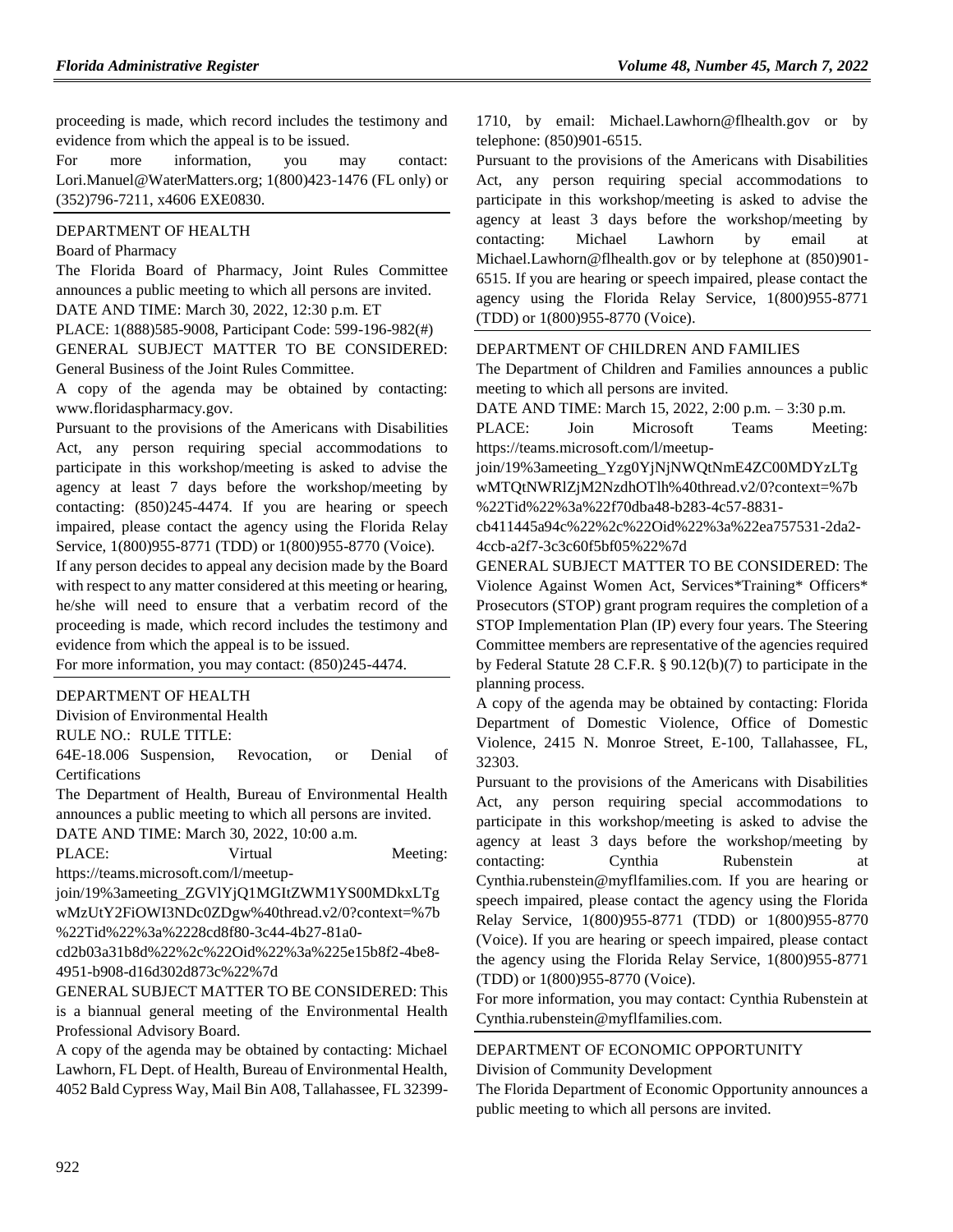proceeding is made, which record includes the testimony and evidence from which the appeal is to be issued.

For more information, you may contact: Lori.Manuel@WaterMatters.org; 1(800)423-1476 (FL only) or (352)796-7211, x4606 EXE0830.

#### [DEPARTMENT OF HEALTH](https://www.flrules.org/gateway/department.asp?id=64)

#### [Board of Pharmacy](https://www.flrules.org/gateway/organization.asp?id=307)

The Florida Board of Pharmacy, Joint Rules Committee announces a public meeting to which all persons are invited. DATE AND TIME: March 30, 2022, 12:30 p.m. ET

PLACE: 1(888)585-9008, Participant Code: 599-196-982(#) GENERAL SUBJECT MATTER TO BE CONSIDERED: General Business of the Joint Rules Committee.

A copy of the agenda may be obtained by contacting: www.floridaspharmacy.gov.

Pursuant to the provisions of the Americans with Disabilities Act, any person requiring special accommodations to participate in this workshop/meeting is asked to advise the agency at least 7 days before the workshop/meeting by contacting: (850)245-4474. If you are hearing or speech impaired, please contact the agency using the Florida Relay Service, 1(800)955-8771 (TDD) or 1(800)955-8770 (Voice).

If any person decides to appeal any decision made by the Board with respect to any matter considered at this meeting or hearing, he/she will need to ensure that a verbatim record of the proceeding is made, which record includes the testimony and evidence from which the appeal is to be issued.

For more information, you may contact: (850)245-4474.

#### [DEPARTMENT OF HEALTH](https://www.flrules.org/gateway/department.asp?id=64)

[Division of Environmental Health](https://www.flrules.org/gateway/organization.asp?id=335)

RULE NO.: RULE TITLE:

[64E-18.006](https://www.flrules.org/gateway/ruleNo.asp?id=64E-18.006) Suspension, Revocation, or Denial of **Certifications** 

The Department of Health, Bureau of Environmental Health announces a public meeting to which all persons are invited.

DATE AND TIME: March 30, 2022, 10:00 a.m.

PLACE: Virtual Meeting:

https://teams.microsoft.com/l/meetup-

join/19%3ameeting\_ZGVlYjQ1MGItZWM1YS00MDkxLTg wMzUtY2FiOWI3NDc0ZDgw%40thread.v2/0?context=%7b %22Tid%22%3a%2228cd8f80-3c44-4b27-81a0-

cd2b03a31b8d%22%2c%22Oid%22%3a%225e15b8f2-4be8- 4951-b908-d16d302d873c%22%7d

GENERAL SUBJECT MATTER TO BE CONSIDERED: This is a biannual general meeting of the Environmental Health Professional Advisory Board.

A copy of the agenda may be obtained by contacting: Michael Lawhorn, FL Dept. of Health, Bureau of Environmental Health, 4052 Bald Cypress Way, Mail Bin A08, Tallahassee, FL 323991710, by email: Michael.Lawhorn@flhealth.gov or by telephone: (850)901-6515.

Pursuant to the provisions of the Americans with Disabilities Act, any person requiring special accommodations to participate in this workshop/meeting is asked to advise the agency at least 3 days before the workshop/meeting by contacting: Michael Lawhorn by email at Michael.Lawhorn@flhealth.gov or by telephone at (850)901- 6515. If you are hearing or speech impaired, please contact the agency using the Florida Relay Service, 1(800)955-8771 (TDD) or 1(800)955-8770 (Voice).

#### [DEPARTMENT OF CHILDREN AND FAMILIES](https://www.flrules.org/gateway/department.asp?id=65)

The Department of Children and Families announces a public meeting to which all persons are invited.

DATE AND TIME: March 15, 2022, 2:00 p.m. – 3:30 p.m.

PLACE: Join Microsoft Teams Meeting: https://teams.microsoft.com/l/meetup-

join/19%3ameeting\_Yzg0YjNjNWQtNmE4ZC00MDYzLTg wMTQtNWRlZjM2NzdhOTlh%40thread.v2/0?context=%7b %22Tid%22%3a%22f70dba48-b283-4c57-8831-

cb411445a94c%22%2c%22Oid%22%3a%22ea757531-2da2- 4ccb-a2f7-3c3c60f5bf05%22%7d

GENERAL SUBJECT MATTER TO BE CONSIDERED: The Violence Against Women Act, Services\*Training\* Officers\* Prosecutors (STOP) grant program requires the completion of a STOP Implementation Plan (IP) every four years. The Steering Committee members are representative of the agencies required by Federal Statute 28 C.F.R. § 90.12(b)(7) to participate in the planning process.

A copy of the agenda may be obtained by contacting: Florida Department of Domestic Violence, Office of Domestic Violence, 2415 N. Monroe Street, E-100, Tallahassee, FL, 32303.

Pursuant to the provisions of the Americans with Disabilities Act, any person requiring special accommodations to participate in this workshop/meeting is asked to advise the agency at least 3 days before the workshop/meeting by contacting: Cynthia Rubenstein at Cynthia.rubenstein@myflfamilies.com. If you are hearing or speech impaired, please contact the agency using the Florida Relay Service, 1(800)955-8771 (TDD) or 1(800)955-8770 (Voice). If you are hearing or speech impaired, please contact the agency using the Florida Relay Service, 1(800)955-8771 (TDD) or 1(800)955-8770 (Voice).

For more information, you may contact: Cynthia Rubenstein at Cynthia.rubenstein@myflfamilies.com.

### [DEPARTMENT OF ECONOMIC OPPORTUNITY](https://www.flrules.org/gateway/department.asp?id=73) [Division of Community Development](https://www.flrules.org/gateway/organization.asp?id=1066)

The Florida Department of Economic Opportunity announces a public meeting to which all persons are invited.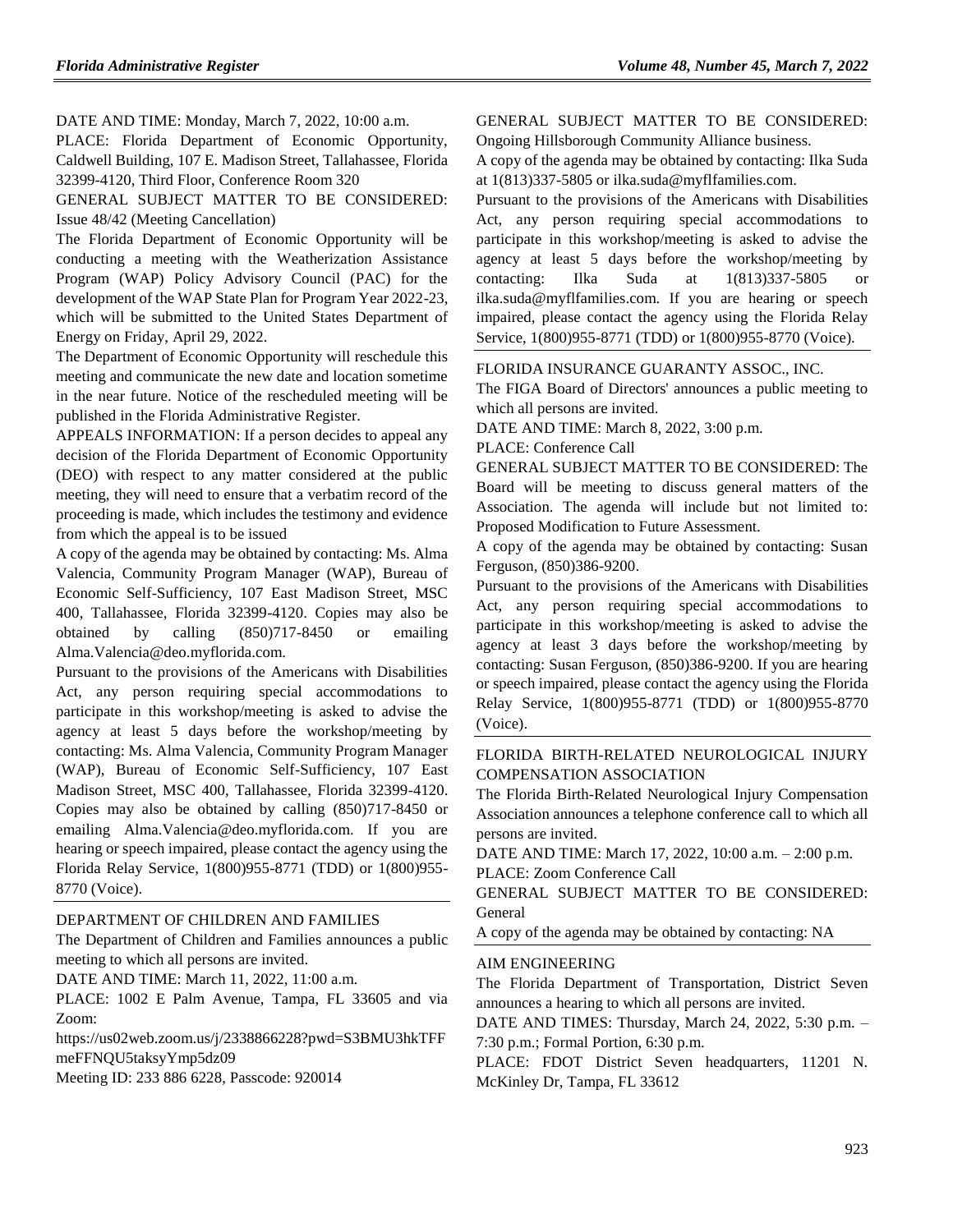DATE AND TIME: Monday, March 7, 2022, 10:00 a.m.

PLACE: Florida Department of Economic Opportunity, Caldwell Building, 107 E. Madison Street, Tallahassee, Florida 32399-4120, Third Floor, Conference Room 320

GENERAL SUBJECT MATTER TO BE CONSIDERED: Issue 48/42 (Meeting Cancellation)

The Florida Department of Economic Opportunity will be conducting a meeting with the Weatherization Assistance Program (WAP) Policy Advisory Council (PAC) for the development of the WAP State Plan for Program Year 2022-23, which will be submitted to the United States Department of Energy on Friday, April 29, 2022.

The Department of Economic Opportunity will reschedule this meeting and communicate the new date and location sometime in the near future. Notice of the rescheduled meeting will be published in the Florida Administrative Register.

APPEALS INFORMATION: If a person decides to appeal any decision of the Florida Department of Economic Opportunity (DEO) with respect to any matter considered at the public meeting, they will need to ensure that a verbatim record of the proceeding is made, which includes the testimony and evidence from which the appeal is to be issued

A copy of the agenda may be obtained by contacting: Ms. Alma Valencia, Community Program Manager (WAP), Bureau of Economic Self-Sufficiency, 107 East Madison Street, MSC 400, Tallahassee, Florida 32399-4120. Copies may also be obtained by calling (850)717-8450 or emailing Alma.Valencia@deo.myflorida.com.

Pursuant to the provisions of the Americans with Disabilities Act, any person requiring special accommodations to participate in this workshop/meeting is asked to advise the agency at least 5 days before the workshop/meeting by contacting: Ms. Alma Valencia, Community Program Manager (WAP), Bureau of Economic Self-Sufficiency, 107 East Madison Street, MSC 400, Tallahassee, Florida 32399-4120. Copies may also be obtained by calling (850)717-8450 or emailing Alma.Valencia@deo.myflorida.com. If you are hearing or speech impaired, please contact the agency using the Florida Relay Service, 1(800)955-8771 (TDD) or 1(800)955- 8770 (Voice).

#### [DEPARTMENT OF CHILDREN AND FAMILIES](https://www.flrules.org/gateway/department.asp?id=65)

The Department of Children and Families announces a public meeting to which all persons are invited.

DATE AND TIME: March 11, 2022, 11:00 a.m.

PLACE: 1002 E Palm Avenue, Tampa, FL 33605 and via Zoom:

https://us02web.zoom.us/j/2338866228?pwd=S3BMU3hkTFF meFFNQU5taksyYmp5dz09

Meeting ID: 233 886 6228, Passcode: 920014

#### GENERAL SUBJECT MATTER TO BE CONSIDERED: Ongoing Hillsborough Community Alliance business.

A copy of the agenda may be obtained by contacting: Ilka Suda at 1(813)337-5805 or ilka.suda@myflfamilies.com.

Pursuant to the provisions of the Americans with Disabilities Act, any person requiring special accommodations to participate in this workshop/meeting is asked to advise the agency at least 5 days before the workshop/meeting by contacting: Ilka Suda at 1(813)337-5805 or ilka.suda@myflfamilies.com. If you are hearing or speech impaired, please contact the agency using the Florida Relay Service, 1(800)955-8771 (TDD) or 1(800)955-8770 (Voice).

#### [FLORIDA INSURANCE GUARANTY ASSOC., INC.](https://www.flrules.org/gateway/organization.asp?id=686)

The FIGA Board of Directors' announces a public meeting to which all persons are invited.

DATE AND TIME: March 8, 2022, 3:00 p.m.

PLACE: Conference Call

GENERAL SUBJECT MATTER TO BE CONSIDERED: The Board will be meeting to discuss general matters of the Association. The agenda will include but not limited to: Proposed Modification to Future Assessment.

A copy of the agenda may be obtained by contacting: Susan Ferguson, (850)386-9200.

Pursuant to the provisions of the Americans with Disabilities Act, any person requiring special accommodations to participate in this workshop/meeting is asked to advise the agency at least 3 days before the workshop/meeting by contacting: Susan Ferguson, (850)386-9200. If you are hearing or speech impaired, please contact the agency using the Florida Relay Service, 1(800)955-8771 (TDD) or 1(800)955-8770 (Voice).

#### [FLORIDA BIRTH-RELATED NEUROLOGICAL INJURY](https://www.flrules.org/gateway/organization.asp?id=804)  [COMPENSATION ASSOCIATION](https://www.flrules.org/gateway/organization.asp?id=804)

The Florida Birth-Related Neurological Injury Compensation Association announces a telephone conference call to which all persons are invited.

DATE AND TIME: March 17, 2022, 10:00 a.m. – 2:00 p.m. PLACE: Zoom Conference Call

GENERAL SUBJECT MATTER TO BE CONSIDERED: General

A copy of the agenda may be obtained by contacting: NA

#### [AIM ENGINEERING](https://www.flrules.org/gateway/organization.asp?id=1034)

The Florida Department of Transportation, District Seven announces a hearing to which all persons are invited.

DATE AND TIMES: Thursday, March 24, 2022, 5:30 p.m. – 7:30 p.m.; Formal Portion, 6:30 p.m.

PLACE: FDOT District Seven headquarters, 11201 N. McKinley Dr, Tampa, FL 33612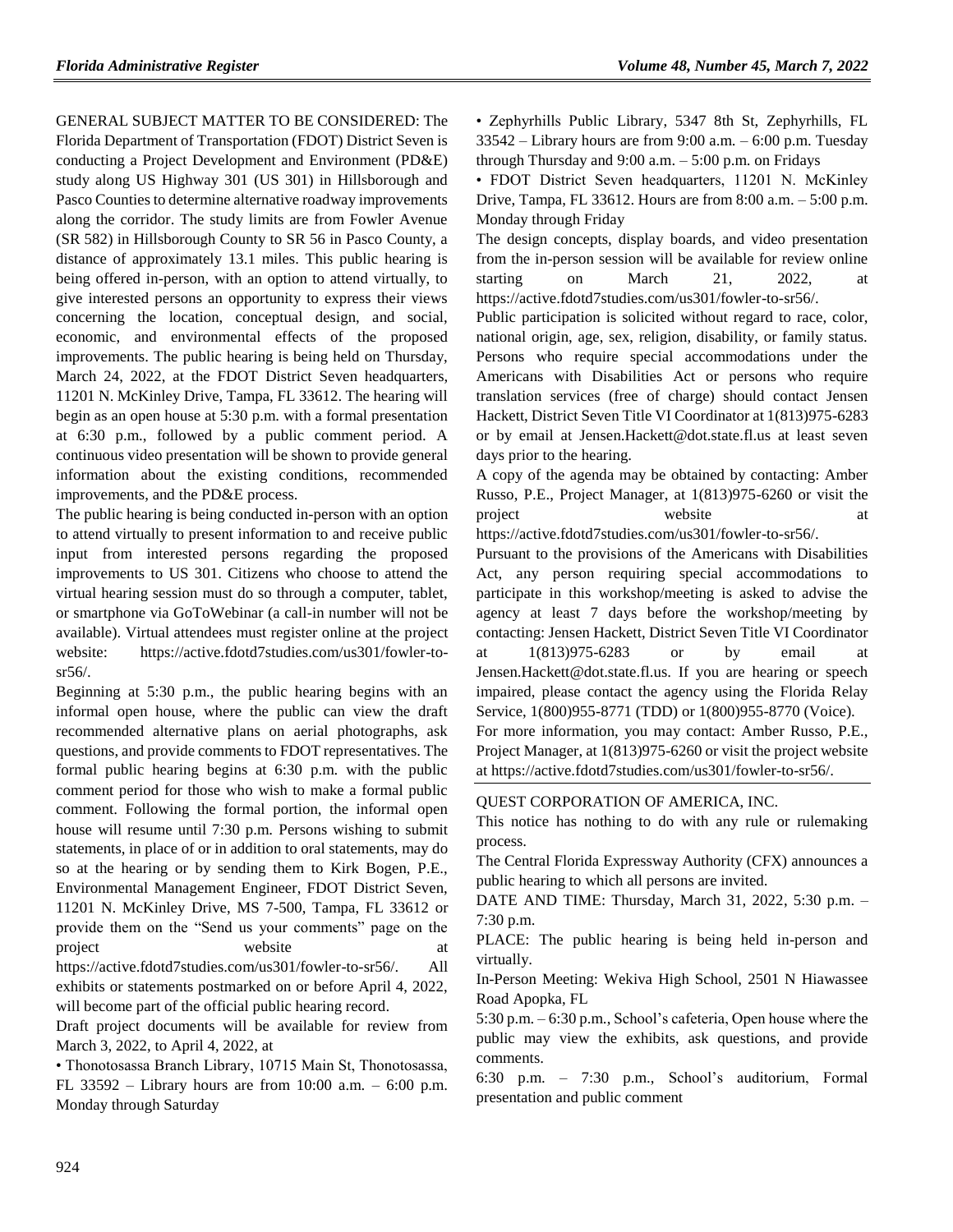GENERAL SUBJECT MATTER TO BE CONSIDERED: The Florida Department of Transportation (FDOT) District Seven is conducting a Project Development and Environment (PD&E) study along US Highway 301 (US 301) in Hillsborough and Pasco Counties to determine alternative roadway improvements along the corridor. The study limits are from Fowler Avenue (SR 582) in Hillsborough County to SR 56 in Pasco County, a distance of approximately 13.1 miles. This public hearing is being offered in-person, with an option to attend virtually, to give interested persons an opportunity to express their views concerning the location, conceptual design, and social, economic, and environmental effects of the proposed improvements. The public hearing is being held on Thursday, March 24, 2022, at the FDOT District Seven headquarters, 11201 N. McKinley Drive, Tampa, FL 33612. The hearing will begin as an open house at 5:30 p.m. with a formal presentation at 6:30 p.m., followed by a public comment period. A continuous video presentation will be shown to provide general information about the existing conditions, recommended improvements, and the PD&E process.

The public hearing is being conducted in-person with an option to attend virtually to present information to and receive public input from interested persons regarding the proposed improvements to US 301. Citizens who choose to attend the virtual hearing session must do so through a computer, tablet, or smartphone via GoToWebinar (a call-in number will not be available). Virtual attendees must register online at the project website: https://active.fdotd7studies.com/us301/fowler-tosr56/.

Beginning at 5:30 p.m., the public hearing begins with an informal open house, where the public can view the draft recommended alternative plans on aerial photographs, ask questions, and provide comments to FDOT representatives. The formal public hearing begins at 6:30 p.m. with the public comment period for those who wish to make a formal public comment. Following the formal portion, the informal open house will resume until 7:30 p.m. Persons wishing to submit statements, in place of or in addition to oral statements, may do so at the hearing or by sending them to Kirk Bogen, P.E., Environmental Management Engineer, FDOT District Seven, 11201 N. McKinley Drive, MS 7-500, Tampa, FL 33612 or provide them on the "Send us your comments" page on the project website at https://active.fdotd7studies.com/us301/fowler-to-sr56/. All

exhibits or statements postmarked on or before April 4, 2022, will become part of the official public hearing record.

Draft project documents will be available for review from March 3, 2022, to April 4, 2022, at

• Thonotosassa Branch Library, 10715 Main St, Thonotosassa, FL 33592 – Library hours are from 10:00 a.m. – 6:00 p.m. Monday through Saturday

• Zephyrhills Public Library, 5347 8th St, Zephyrhills, FL 33542 – Library hours are from 9:00 a.m. – 6:00 p.m. Tuesday through Thursday and  $9:00$  a.m.  $-5:00$  p.m. on Fridays

• FDOT District Seven headquarters, 11201 N. McKinley Drive, Tampa, FL 33612. Hours are from 8:00 a.m. – 5:00 p.m. Monday through Friday

The design concepts, display boards, and video presentation from the in-person session will be available for review online starting on March 21, 2022, at https://active.fdotd7studies.com/us301/fowler-to-sr56/.

Public participation is solicited without regard to race, color, national origin, age, sex, religion, disability, or family status. Persons who require special accommodations under the Americans with Disabilities Act or persons who require translation services (free of charge) should contact Jensen Hackett, District Seven Title VI Coordinator at 1(813)975-6283 or by email at Jensen.Hackett@dot.state.fl.us at least seven days prior to the hearing.

A copy of the agenda may be obtained by contacting: Amber Russo, P.E., Project Manager, at 1(813)975-6260 or visit the project website at a vertex at a vertex  $\alpha$  at a vertex  $\alpha$  at a vertex  $\alpha$  at a vertex  $\alpha$  at a vertex  $\alpha$  vertex  $\alpha$  vertex  $\alpha$  vertex  $\alpha$  vertex  $\alpha$  vertex  $\alpha$  vertex  $\alpha$  vertex  $\alpha$  vertex  $\alpha$  vertex  $\alpha$  v

https://active.fdotd7studies.com/us301/fowler-to-sr56/.

Pursuant to the provisions of the Americans with Disabilities Act, any person requiring special accommodations to participate in this workshop/meeting is asked to advise the agency at least 7 days before the workshop/meeting by contacting: Jensen Hackett, District Seven Title VI Coordinator at 1(813)975-6283 or by email at Jensen.Hackett@dot.state.fl.us. If you are hearing or speech impaired, please contact the agency using the Florida Relay Service, 1(800)955-8771 (TDD) or 1(800)955-8770 (Voice). For more information, you may contact: Amber Russo, P.E.,

Project Manager, at 1(813)975-6260 or visit the project website at https://active.fdotd7studies.com/us301/fowler-to-sr56/.

#### QUEST CORPORATION OF AMERICA, INC.

This notice has nothing to do with any rule or rulemaking process.

The Central Florida Expressway Authority (CFX) announces a public hearing to which all persons are invited.

DATE AND TIME: Thursday, March 31, 2022, 5:30 p.m. – 7:30 p.m.

PLACE: The public hearing is being held in-person and virtually.

In-Person Meeting: Wekiva High School, 2501 N Hiawassee Road Apopka, FL

5:30 p.m. – 6:30 p.m., School's cafeteria, Open house where the public may view the exhibits, ask questions, and provide comments.

6:30 p.m. – 7:30 p.m., School's auditorium, Formal presentation and public comment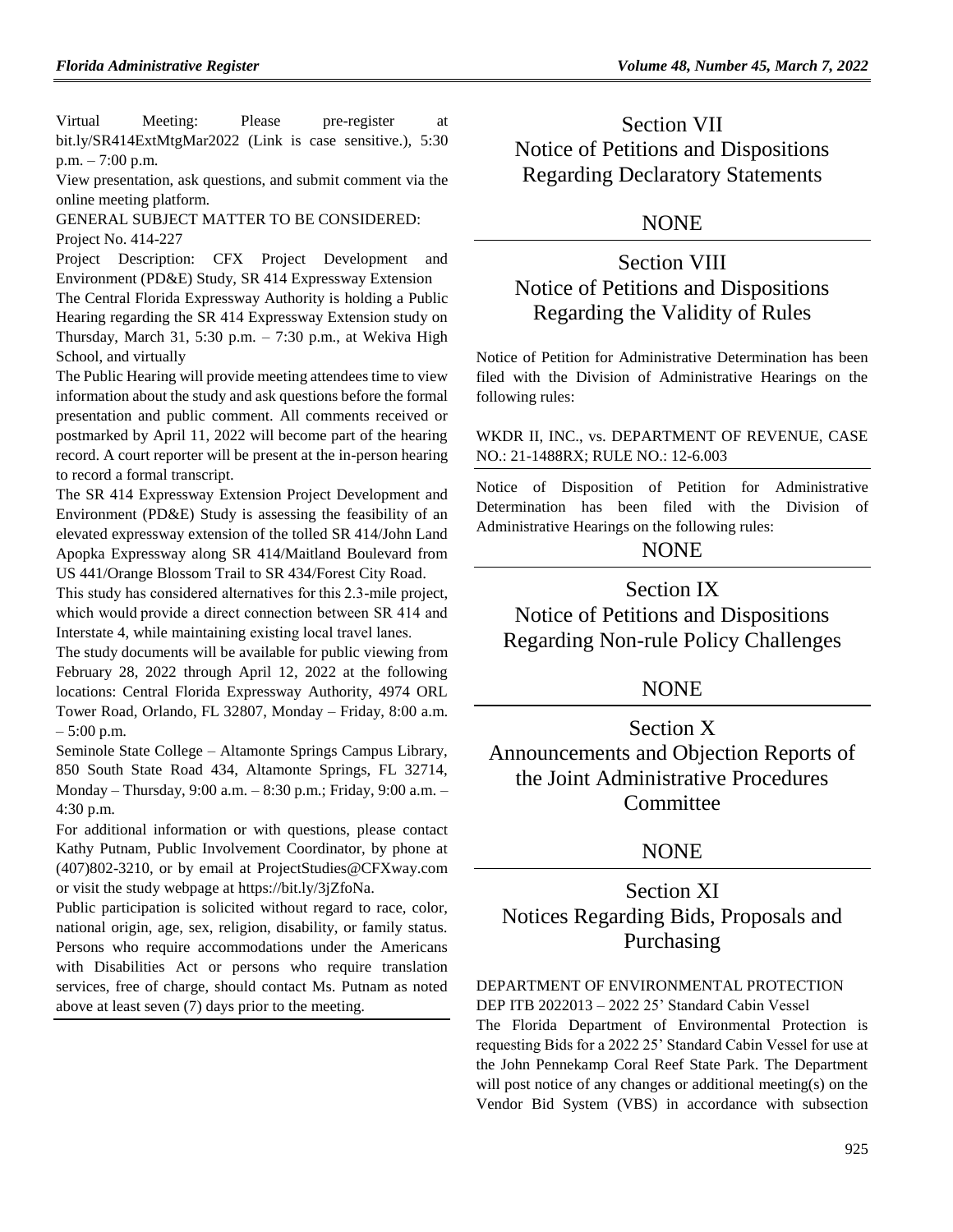Virtual Meeting: Please pre-register at [bit.ly/SR414ExtMtgMar2022](https://event.on24.com/eventRegistration/EventLobbyServletV2?target=lobby20V2.jsp&eventid=3652226&sessionid=1&format=fhvideo1&key=96C9D6F3BC49E0FFDBE73D0303FE4BE5&eventuserid=513136714) (Link is case sensitive.), 5:30 p.m. – 7:00 p.m.

View presentation, ask questions, and submit comment via the online meeting platform.

GENERAL SUBJECT MATTER TO BE CONSIDERED: Project No. 414-227

Project Description: CFX Project Development and Environment (PD&E) Study, SR 414 Expressway Extension

The Central Florida Expressway Authority is holding a Public Hearing regarding the SR 414 Expressway Extension study on Thursday, March 31, 5:30 p.m. – 7:30 p.m., at Wekiva High School, and virtually

The Public Hearing will provide meeting attendees time to view information about the study and ask questions before the formal presentation and public comment. All comments received or postmarked by April 11, 2022 will become part of the hearing record. A court reporter will be present at the in-person hearing to record a formal transcript.

The SR 414 Expressway Extension Project Development and Environment (PD&E) Study is assessing the feasibility of an elevated expressway extension of the tolled SR 414/John Land Apopka Expressway along SR 414/Maitland Boulevard from US 441/Orange Blossom Trail to SR 434/Forest City Road.

This study has considered alternatives for this 2.3-mile project, which would provide a direct connection between SR 414 and Interstate 4, while maintaining existing local travel lanes. 

The study documents will be available for public viewing from February 28, 2022 through April 12, 2022 at the following locations: Central Florida Expressway Authority, 4974 ORL Tower Road, Orlando, FL 32807, Monday – Friday, 8:00 a.m. – 5:00 p.m.

Seminole State College – Altamonte Springs Campus Library, 850 South State Road 434, Altamonte Springs, FL 32714, Monday – Thursday, 9:00 a.m. – 8:30 p.m.; Friday, 9:00 a.m. – 4:30 p.m.

For additional information or with questions, please contact Kathy Putnam, Public Involvement Coordinator, by phone at (407)802-3210, or by email at [ProjectStudies@CFXway.com](mailto:ProjectStudies@CFXway.com) or visit the study webpage at [https://bit.ly/3jZfoNa.](https://bit.ly/3jZfoNa)

Public participation is solicited without regard to race, color, national origin, age, sex, religion, disability, or family status. Persons who require accommodations under the Americans with Disabilities Act or persons who require translation services, free of charge, should contact Ms. Putnam as noted above at least seven (7) days prior to the meeting.

Section VII Notice of Petitions and Dispositions Regarding Declaratory Statements

## NONE

# Section VIII Notice of Petitions and Dispositions Regarding the Validity of Rules

Notice of Petition for Administrative Determination has been filed with the Division of Administrative Hearings on the following rules:

## WKDR II, INC., vs. DEPARTMENT OF REVENUE, CASE NO.: 21-1488RX; RULE NO.: 12-6.003

Notice of Disposition of Petition for Administrative Determination has been filed with the Division of Administrative Hearings on the following rules:

# **NONE**

Section IX Notice of Petitions and Dispositions Regarding Non-rule Policy Challenges

## NONE

Section X Announcements and Objection Reports of the Joint Administrative Procedures **Committee** 

# **NONE**

Section XI Notices Regarding Bids, Proposals and Purchasing

## [DEPARTMENT OF ENVIRONMENTAL PROTECTION](https://www.flrules.org/gateway/department.asp?id=62)

DEP ITB 2022013 – 2022 25' Standard Cabin Vessel The Florida Department of Environmental Protection is requesting Bids for a 2022 25' Standard Cabin Vessel for use at the John Pennekamp Coral Reef State Park. The Department will post notice of any changes or additional meeting(s) on the Vendor Bid System (VBS) in accordance with subsection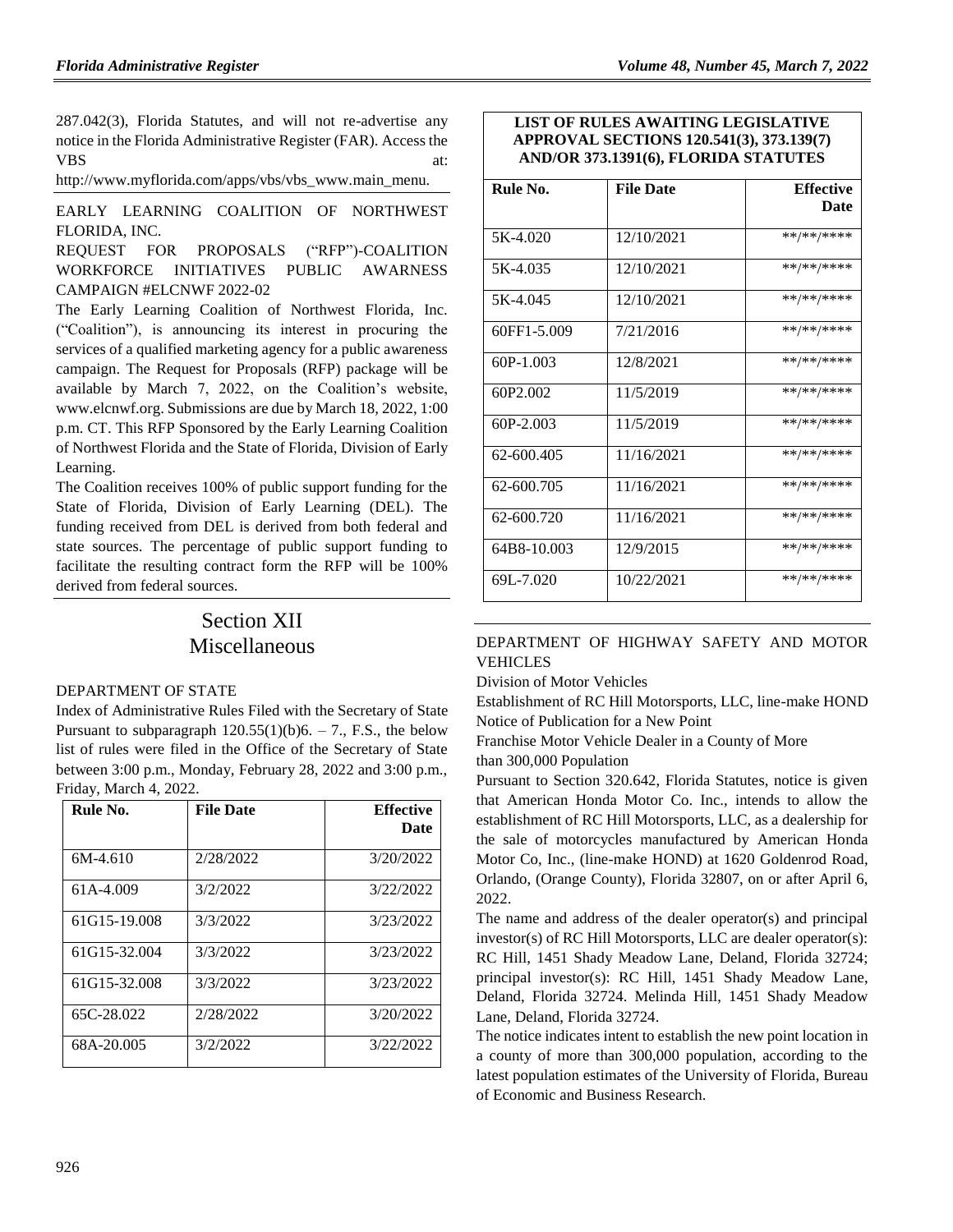287.042(3), Florida Statutes, and will not re-advertise any notice in the Florida Administrative Register (FAR). Access the VBS at:

[http://www.myflorida.com/apps/vbs/vbs\\_www.main\\_menu.](http://www.myflorida.com/apps/vbs/vbs_www.main_menu)

[EARLY LEARNING COALITION OF NORTHWEST](https://www.flrules.org/gateway/organization.asp?id=1284)  [FLORIDA, INC.](https://www.flrules.org/gateway/organization.asp?id=1284)

REQUEST FOR PROPOSALS ("RFP")-COALITION WORKFORCE INITIATIVES PUBLIC AWARNESS CAMPAIGN #ELCNWF 2022-02

The Early Learning Coalition of Northwest Florida, Inc. ("Coalition"), is announcing its interest in procuring the services of a qualified marketing agency for a public awareness campaign. The Request for Proposals (RFP) package will be available by March 7, 2022, on the Coalition's website, [www.elcnwf.org.](http://www.elcnwf.org/) Submissions are due by March 18, 2022, 1:00 p.m. CT. This RFP Sponsored by the Early Learning Coalition of Northwest Florida and the State of Florida, Division of Early Learning.

The Coalition receives 100% of public support funding for the State of Florida, Division of Early Learning (DEL). The funding received from DEL is derived from both federal and state sources. The percentage of public support funding to facilitate the resulting contract form the RFP will be 100% derived from federal sources.

# Section XII Miscellaneous

### [DEPARTMENT OF STATE](https://www.flrules.org/gateway/department.asp?id=1)

Index of Administrative Rules Filed with the Secretary of State Pursuant to subparagraph  $120.55(1)(b)6. - 7$ ., F.S., the below list of rules were filed in the Office of the Secretary of State between 3:00 p.m., Monday, February 28, 2022 and 3:00 p.m., Friday, March 4, 2022.

| Rule No.     | <b>File Date</b> | <b>Effective</b><br><b>Date</b> |
|--------------|------------------|---------------------------------|
| $6M-4.610$   | 2/28/2022        | 3/20/2022                       |
| 61A-4.009    | 3/2/2022         | 3/22/2022                       |
| 61G15-19.008 | 3/3/2022         | 3/23/2022                       |
| 61G15-32.004 | 3/3/2022         | 3/23/2022                       |
| 61G15-32.008 | 3/3/2022         | 3/23/2022                       |
| 65C-28.022   | 2/28/2022        | 3/20/2022                       |
| 68A-20.005   | 3/2/2022         | 3/22/2022                       |

## **LIST OF RULES AWAITING LEGISLATIVE APPROVAL SECTIONS 120.541(3), 373.139(7) AND/OR 373.1391(6), FLORIDA STATUTES**

| Rule No.      | <b>File Date</b> | <b>Effective</b> |
|---------------|------------------|------------------|
|               |                  | Date             |
| 5K-4.020      | 12/10/2021       | **/**/****       |
| 5K-4.035      | 12/10/2021       | **/**/****       |
| 5K-4.045      | 12/10/2021       | **/**/****       |
| 60FF1-5.009   | 7/21/2016        | **/**/****       |
| 60P-1.003     | 12/8/2021        | **/**/****       |
| 60P2.002      | 11/5/2019        | **/**/****       |
| $60P - 2.003$ | 11/5/2019        | **/**/****       |
| 62-600.405    | 11/16/2021       | **/**/****       |
| 62-600.705    | 11/16/2021       | **/**/****       |
| 62-600.720    | 11/16/2021       | **/**/****       |
| 64B8-10.003   | 12/9/2015        | **/**/****       |
| 69L-7.020     | 10/22/2021       | **/**/****       |

### [DEPARTMENT OF HIGHWAY SAFETY AND MOTOR](https://www.flrules.org/gateway/department.asp?id=15)  [VEHICLES](https://www.flrules.org/gateway/department.asp?id=15)

[Division of Motor Vehicles](https://www.flrules.org/gateway/organization.asp?id=42)

Establishment of RC Hill Motorsports, LLC, line-make HOND Notice of Publication for a New Point

Franchise Motor Vehicle Dealer in a County of More than 300,000 Population

Pursuant to Section 320.642, Florida Statutes, notice is given that American Honda Motor Co. Inc., intends to allow the establishment of RC Hill Motorsports, LLC, as a dealership for the sale of motorcycles manufactured by American Honda Motor Co, Inc., (line-make HOND) at 1620 Goldenrod Road, Orlando, (Orange County), Florida 32807, on or after April 6, 2022.

The name and address of the dealer operator(s) and principal investor(s) of RC Hill Motorsports, LLC are dealer operator(s): RC Hill, 1451 Shady Meadow Lane, Deland, Florida 32724; principal investor(s): RC Hill, 1451 Shady Meadow Lane, Deland, Florida 32724. Melinda Hill, 1451 Shady Meadow Lane, Deland, Florida 32724.

The notice indicates intent to establish the new point location in a county of more than 300,000 population, according to the latest population estimates of the University of Florida, Bureau of Economic and Business Research.